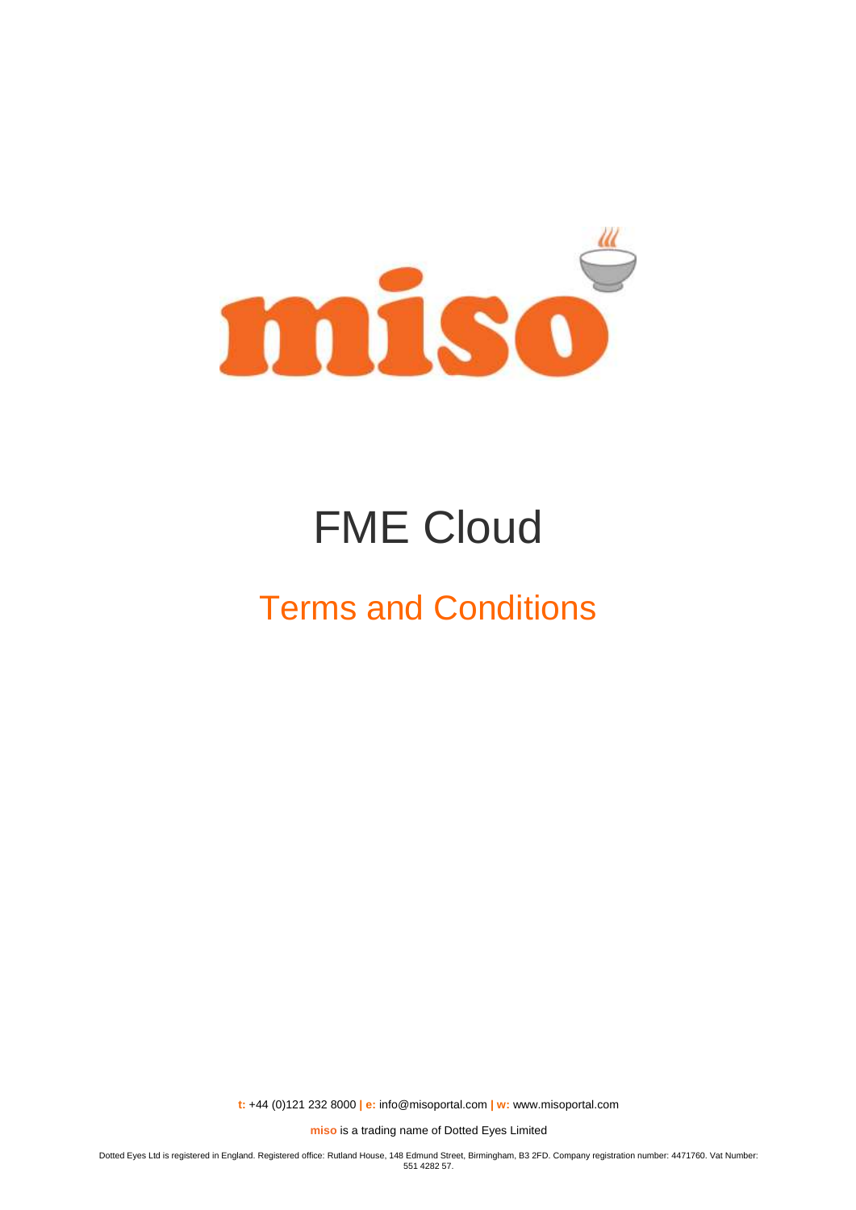

# FME Cloud

## Terms and Conditions

**t:** +44 (0)121 232 8000 **| e:** [info@misoportal.com](mailto:info@misoportal.com) **| w:** [www.misoportal.com](http://www.misoportal.com/)

**miso** is a trading name of Dotted Eyes Limited

Dotted Eyes Ltd is registered in England. Registered office: Rutland House, 148 Edmund Street, Birmingham, B3 2FD. Company registration number: 4471760. Vat Number: 551 4282 57.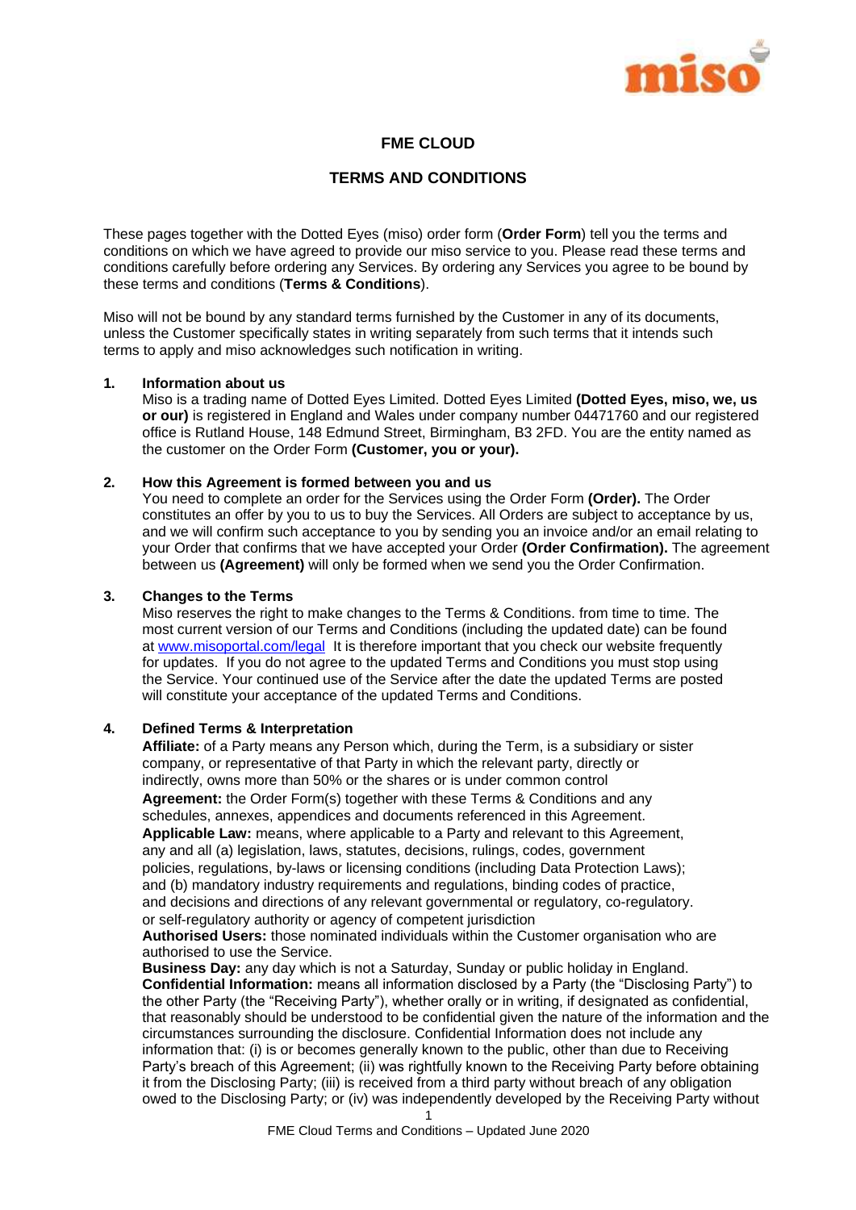

## **FME CLOUD**

## **TERMS AND CONDITIONS**

These pages together with the Dotted Eyes (miso) order form (**Order Form**) tell you the terms and conditions on which we have agreed to provide our miso service to you. Please read these terms and conditions carefully before ordering any Services. By ordering any Services you agree to be bound by these terms and conditions (**Terms & Conditions**).

Miso will not be bound by any standard terms furnished by the Customer in any of its documents, unless the Customer specifically states in writing separately from such terms that it intends such terms to apply and miso acknowledges such notification in writing.

#### **1. Information about us**

Miso is a trading name of Dotted Eyes Limited. Dotted Eyes Limited **(Dotted Eyes, miso, we, us or our)** is registered in England and Wales under company number 04471760 and our registered office is Rutland House, 148 Edmund Street, Birmingham, B3 2FD. You are the entity named as the customer on the Order Form **(Customer, you or your).**

## **2. How this Agreement is formed between you and us**

You need to complete an order for the Services using the Order Form **(Order).** The Order constitutes an offer by you to us to buy the Services. All Orders are subject to acceptance by us, and we will confirm such acceptance to you by sending you an invoice and/or an email relating to your Order that confirms that we have accepted your Order **(Order Confirmation).** The agreement between us **(Agreement)** will only be formed when we send you the Order Confirmation.

## **3. Changes to the Terms**

Miso reserves the right to make changes to the Terms & Conditions. from time to time. The most current version of our Terms and Conditions (including the updated date) can be found at [www.misoportal.com/legal](http://www.misoportal.com/legal) It is therefore important that you check our website frequently for updates. If you do not agree to the updated Terms and Conditions you must stop using the Service. Your continued use of the Service after the date the updated Terms are posted will constitute your acceptance of the updated Terms and Conditions.

#### **4. Defined Terms & Interpretation**

**Affiliate:** of a Party means any Person which, during the Term, is a subsidiary or sister company, or representative of that Party in which the relevant party, directly or indirectly, owns more than 50% or the shares or is under common control **Agreement:** the Order Form(s) together with these Terms & Conditions and any schedules, annexes, appendices and documents referenced in this Agreement. **Applicable Law:** means, where applicable to a Party and relevant to this Agreement, any and all (a) legislation, laws, statutes, decisions, rulings, codes, government policies, regulations, by-laws or licensing conditions (including Data Protection Laws); and (b) mandatory industry requirements and regulations, binding codes of practice, and decisions and directions of any relevant governmental or regulatory, co-regulatory. or self-regulatory authority or agency of competent jurisdiction

**Authorised Users:** those nominated individuals within the Customer organisation who are authorised to use the Service.

**Business Day:** any day which is not a Saturday, Sunday or public holiday in England. **Confidential Information:** means all information disclosed by a Party (the "Disclosing Party") to the other Party (the "Receiving Party"), whether orally or in writing, if designated as confidential, that reasonably should be understood to be confidential given the nature of the information and the circumstances surrounding the disclosure. Confidential Information does not include any information that: (i) is or becomes generally known to the public, other than due to Receiving Party's breach of this Agreement; (ii) was rightfully known to the Receiving Party before obtaining it from the Disclosing Party; (iii) is received from a third party without breach of any obligation owed to the Disclosing Party; or (iv) was independently developed by the Receiving Party without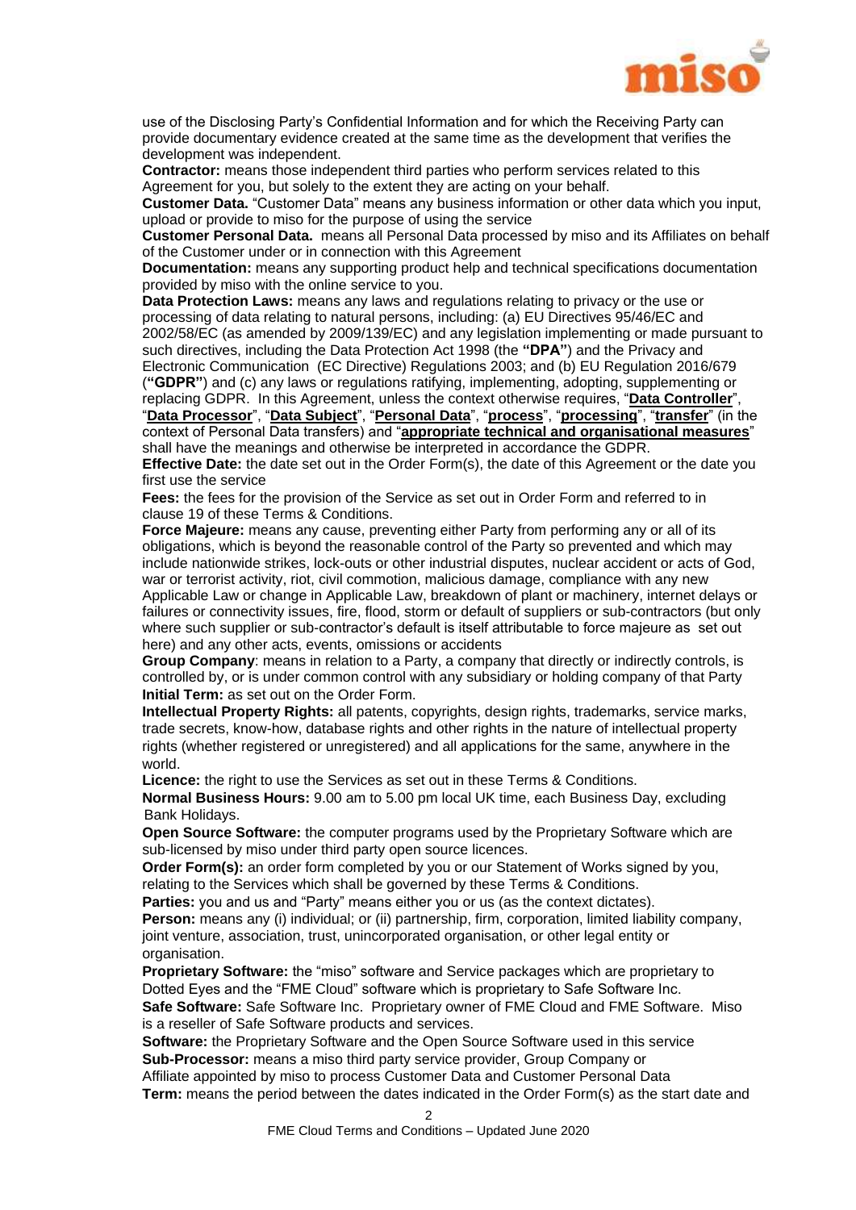

use of the Disclosing Party's Confidential Information and for which the Receiving Party can provide documentary evidence created at the same time as the development that verifies the development was independent.

**Contractor:** means those independent third parties who perform services related to this Agreement for you, but solely to the extent they are acting on your behalf.

**Customer Data.** "Customer Data" means any business information or other data which you input, upload or provide to miso for the purpose of using the service

**Customer Personal Data.** means all Personal Data processed by miso and its Affiliates on behalf of the Customer under or in connection with this Agreement

**Documentation:** means any supporting product help and technical specifications documentation provided by miso with the online service to you.

**Data Protection Laws:** means any laws and regulations relating to privacy or the use or processing of data relating to natural persons, including: (a) EU Directives 95/46/EC and 2002/58/EC (as amended by 2009/139/EC) and any legislation implementing or made pursuant to such directives, including the Data Protection Act 1998 (the **"DPA"**) and the Privacy and Electronic Communication (EC Directive) Regulations 2003; and (b) EU Regulation 2016/679 (**"GDPR"**) and (c) any laws or regulations ratifying, implementing, adopting, supplementing or replacing GDPR. In this Agreement, unless the context otherwise requires, "**Data Controller**",

"**Data Processor**", "**Data Subject**", "**Personal Data**", "**process**", "**processing**", "**transfer**" (in the context of Personal Data transfers) and "**appropriate technical and organisational measures**" shall have the meanings and otherwise be interpreted in accordance the GDPR.

**Effective Date:** the date set out in the Order Form(s), the date of this Agreement or the date you first use the service

**Fees:** the fees for the provision of the Service as set out in Order Form and referred to in clause [19](#page-6-0) of these Terms & Conditions.

**Force Majeure:** means any cause, preventing either Party from performing any or all of its obligations, which is beyond the reasonable control of the Party so prevented and which may include nationwide strikes, lock-outs or other industrial disputes, nuclear accident or acts of God, war or terrorist activity, riot, civil commotion, malicious damage, compliance with any new Applicable Law or change in Applicable Law, breakdown of plant or machinery, internet delays or failures or connectivity issues, fire, flood, storm or default of suppliers or sub-contractors (but only where such supplier or sub-contractor's default is itself attributable to force majeure as set out here) and any other acts, events, omissions or accidents

**Group Company**: means in relation to a Party, a company that directly or indirectly controls, is controlled by, or is under common control with any subsidiary or holding company of that Party **Initial Term:** as set out on the Order Form.

**Intellectual Property Rights:** all patents, copyrights, design rights, trademarks, service marks, trade secrets, know-how, database rights and other rights in the nature of intellectual property rights (whether registered or unregistered) and all applications for the same, anywhere in the world.

**Licence:** the right to use the Services as set out in these Terms & Conditions.

**Normal Business Hours:** 9.00 am to 5.00 pm local UK time, each Business Day, excluding Bank Holidays.

**Open Source Software:** the computer programs used by the Proprietary Software which are sub-licensed by miso under third party open source licences.

**Order Form(s):** an order form completed by you or our Statement of Works signed by you, relating to the Services which shall be governed by these Terms & Conditions.

**Parties:** you and us and "Party" means either you or us (as the context dictates).

Person: means any (i) individual; or (ii) partnership, firm, corporation, limited liability company, joint venture, association, trust, unincorporated organisation, or other legal entity or organisation.

**Proprietary Software:** the "miso" software and Service packages which are proprietary to Dotted Eyes and the "FME Cloud" software which is proprietary to Safe Software Inc.

**Safe Software:** Safe Software Inc. Proprietary owner of FME Cloud and FME Software. Miso is a reseller of Safe Software products and services.

**Software:** the Proprietary Software and the Open Source Software used in this service **Sub-Processor:** means a miso third party service provider, Group Company or Affiliate appointed by miso to process Customer Data and Customer Personal Data **Term:** means the period between the dates indicated in the Order Form(s) as the start date and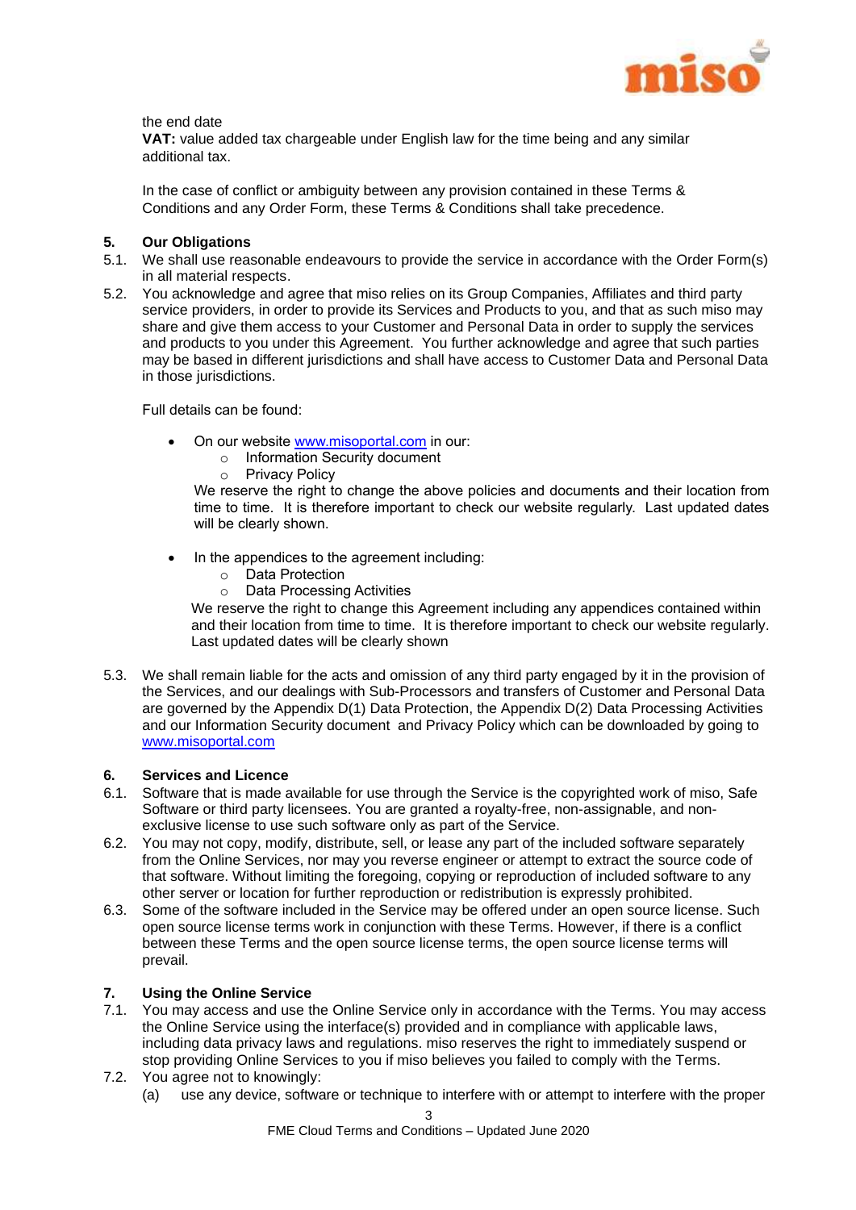

the end date

**VAT:** value added tax chargeable under English law for the time being and any similar additional tax.

In the case of conflict or ambiguity between any provision contained in these Terms & Conditions and any Order Form, these Terms & Conditions shall take precedence.

## **5. Our Obligations**

- 5.1. We shall use reasonable endeavours to provide the service in accordance with the Order Form(s) in all material respects.
- 5.2. You acknowledge and agree that miso relies on its Group Companies, Affiliates and third party service providers, in order to provide its Services and Products to you, and that as such miso may share and give them access to your Customer and Personal Data in order to supply the services and products to you under this Agreement. You further acknowledge and agree that such parties may be based in different jurisdictions and shall have access to Customer Data and Personal Data in those jurisdictions.

Full details can be found:

- On our website www.misoportal.com in our:
	- o Information Security document
	- o Privacy Policy

We reserve the right to change the above policies and documents and their location from time to time. It is therefore important to check our website regularly. Last updated dates will be clearly shown.

- In the appendices to the agreement including:
	- o Data Protection
	- o Data Processing Activities

We reserve the right to change this Agreement including any appendices contained within and their location from time to time. It is therefore important to check our website regularly. Last updated dates will be clearly shown

5.3. We shall remain liable for the acts and omission of any third party engaged by it in the provision of the Services, and our dealings with Sub-Processors and transfers of Customer and Personal Data are governed by the Appendix D(1) Data Protection, the Appendix D(2) Data Processing Activities and our Information Security document and Privacy Policy which can be downloaded by going to www.misoportal.com

## <span id="page-3-0"></span>**6. Services and Licence**

- 6.1. Software that is made available for use through the Service is the copyrighted work of miso, Safe Software or third party licensees. You are granted a royalty-free, non-assignable, and nonexclusive license to use such software only as part of the Service.
- 6.2. You may not copy, modify, distribute, sell, or lease any part of the included software separately from the Online Services, nor may you reverse engineer or attempt to extract the source code of that software. Without limiting the foregoing, copying or reproduction of included software to any other server or location for further reproduction or redistribution is expressly prohibited.
- 6.3. Some of the software included in the Service may be offered under an open source license. Such open source license terms work in conjunction with these Terms. However, if there is a conflict between these Terms and the open source license terms, the open source license terms will prevail.

## <span id="page-3-1"></span>**7. Using the Online Service**

- 7.1. You may access and use the Online Service only in accordance with the Terms. You may access the Online Service using the interface(s) provided and in compliance with applicable laws, including data privacy laws and regulations. miso reserves the right to immediately suspend or stop providing Online Services to you if miso believes you failed to comply with the Terms.
- 7.2. You agree not to knowingly:
	- (a) use any device, software or technique to interfere with or attempt to interfere with the proper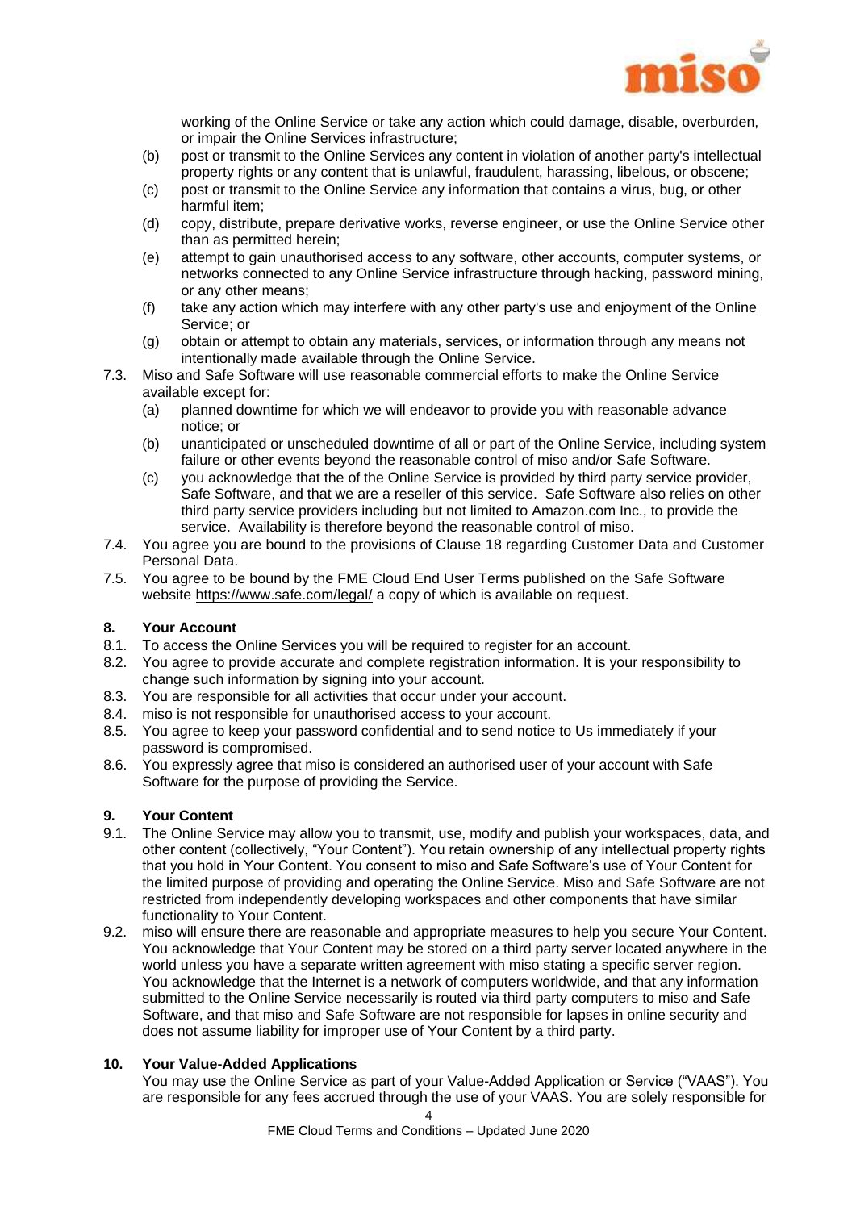

working of the Online Service or take any action which could damage, disable, overburden, or impair the Online Services infrastructure;

- (b) post or transmit to the Online Services any content in violation of another party's intellectual property rights or any content that is unlawful, fraudulent, harassing, libelous, or obscene;
- (c) post or transmit to the Online Service any information that contains a virus, bug, or other harmful item;
- (d) copy, distribute, prepare derivative works, reverse engineer, or use the Online Service other than as permitted herein;
- (e) attempt to gain unauthorised access to any software, other accounts, computer systems, or networks connected to any Online Service infrastructure through hacking, password mining, or any other means;
- (f) take any action which may interfere with any other party's use and enjoyment of the Online Service; or
- (g) obtain or attempt to obtain any materials, services, or information through any means not intentionally made available through the Online Service.
- 7.3. Miso and Safe Software will use reasonable commercial efforts to make the Online Service available except for:
	- (a) planned downtime for which we will endeavor to provide you with reasonable advance notice; or
	- (b) unanticipated or unscheduled downtime of all or part of the Online Service, including system failure or other events beyond the reasonable control of miso and/or Safe Software.
	- (c) you acknowledge that the of the Online Service is provided by third party service provider, Safe Software, and that we are a reseller of this service. Safe Software also relies on other third party service providers including but not limited to Amazon.com Inc., to provide the service. Availability is therefore beyond the reasonable control of miso.
- 7.4. You agree you are bound to the provisions of Clause [18](#page-6-1) regarding Customer Data and Customer Personal Data.
- 7.5. You agree to be bound by the FME Cloud End User Terms published on the Safe Software website<https://www.safe.com/legal/> a copy of which is available on request.

## <span id="page-4-0"></span>**8. Your Account**

- 8.1. To access the Online Services you will be required to register for an account.
- 8.2. You agree to provide accurate and complete registration information. It is your responsibility to change such information by signing into your account.
- 8.3. You are responsible for all activities that occur under your account.
- 8.4. miso is not responsible for unauthorised access to your account.
- 8.5. You agree to keep your password confidential and to send notice to Us immediately if your password is compromised.
- 8.6. You expressly agree that miso is considered an authorised user of your account with Safe Software for the purpose of providing the Service.

## <span id="page-4-1"></span>**9. Your Content**

- 9.1. The Online Service may allow you to transmit, use, modify and publish your workspaces, data, and other content (collectively, "Your Content"). You retain ownership of any intellectual property rights that you hold in Your Content. You consent to miso and Safe Software's use of Your Content for the limited purpose of providing and operating the Online Service. Miso and Safe Software are not restricted from independently developing workspaces and other components that have similar functionality to Your Content.
- 9.2. miso will ensure there are reasonable and appropriate measures to help you secure Your Content. You acknowledge that Your Content may be stored on a third party server located anywhere in the world unless you have a separate written agreement with miso stating a specific server region. You acknowledge that the Internet is a network of computers worldwide, and that any information submitted to the Online Service necessarily is routed via third party computers to miso and Safe Software, and that miso and Safe Software are not responsible for lapses in online security and does not assume liability for improper use of Your Content by a third party.

#### <span id="page-4-2"></span>**10. Your Value-Added Applications**

You may use the Online Service as part of your Value-Added Application or Service ("VAAS"). You are responsible for any fees accrued through the use of your VAAS. You are solely responsible for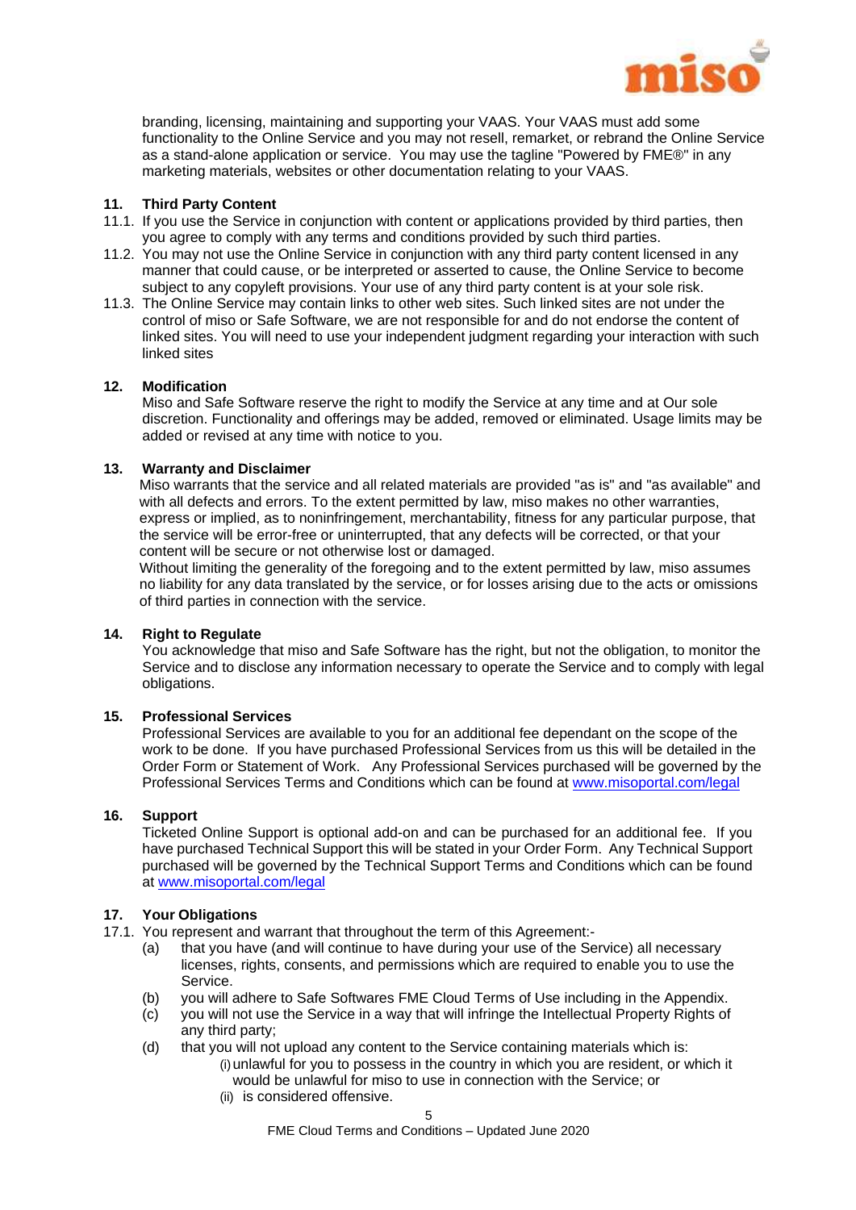

branding, licensing, maintaining and supporting your VAAS. Your VAAS must add some functionality to the Online Service and you may not resell, remarket, or rebrand the Online Service as a stand-alone application or service. You may use the tagline "Powered by FME®" in any marketing materials, websites or other documentation relating to your VAAS.

## <span id="page-5-0"></span>**11. Third Party Content**

- 11.1. If you use the Service in conjunction with content or applications provided by third parties, then you agree to comply with any terms and conditions provided by such third parties.
- 11.2. You may not use the Online Service in conjunction with any third party content licensed in any manner that could cause, or be interpreted or asserted to cause, the Online Service to become subject to any copyleft provisions. Your use of any third party content is at your sole risk.
- 11.3. The Online Service may contain links to other web sites. Such linked sites are not under the control of miso or Safe Software, we are not responsible for and do not endorse the content of linked sites. You will need to use your independent judgment regarding your interaction with such linked sites

## **12. Modification**

Miso and Safe Software reserve the right to modify the Service at any time and at Our sole discretion. Functionality and offerings may be added, removed or eliminated. Usage limits may be added or revised at any time with notice to you.

## **13. Warranty and Disclaimer**

Miso warrants that the service and all related materials are provided "as is" and "as available" and with all defects and errors. To the extent permitted by law, miso makes no other warranties, express or implied, as to noninfringement, merchantability, fitness for any particular purpose, that the service will be error-free or uninterrupted, that any defects will be corrected, or that your content will be secure or not otherwise lost or damaged.

Without limiting the generality of the foregoing and to the extent permitted by law, miso assumes no liability for any data translated by the service, or for losses arising due to the acts or omissions of third parties in connection with the service.

## **14. Right to Regulate**

You acknowledge that miso and Safe Software has the right, but not the obligation, to monitor the Service and to disclose any information necessary to operate the Service and to comply with legal obligations.

## **15. Professional Services**

Professional Services are available to you for an additional fee dependant on the scope of the work to be done. If you have purchased Professional Services from us this will be detailed in the Order Form or Statement of Work. Any Professional Services purchased will be governed by the Professional Services Terms and Conditions which can be found at [www.misoportal.com/legal](http://www.misportal.com/legal)

## **16. Support**

Ticketed Online Support is optional add-on and can be purchased for an additional fee. If you have purchased Technical Support this will be stated in your Order Form. Any Technical Support purchased will be governed by the Technical Support Terms and Conditions which can be found at [www.misoportal.com/legal](http://www.misportal.com/legal)

## <span id="page-5-1"></span>**17. Your Obligations**

- 17.1. You represent and warrant that throughout the term of this Agreement:-
	- (a) that you have (and will continue to have during your use of the Service) all necessary licenses, rights, consents, and permissions which are required to enable you to use the Service.
	- (b) you will adhere to Safe Softwares FME Cloud Terms of Use including in the Appendix.
	- (c) you will not use the Service in a way that will infringe the Intellectual Property Rights of any third party;
	- (d) that you will not upload any content to the Service containing materials which is: (i)unlawful for you to possess in the country in which you are resident, or which it would be unlawful for miso to use in connection with the Service; or
		- (ii) is considered offensive.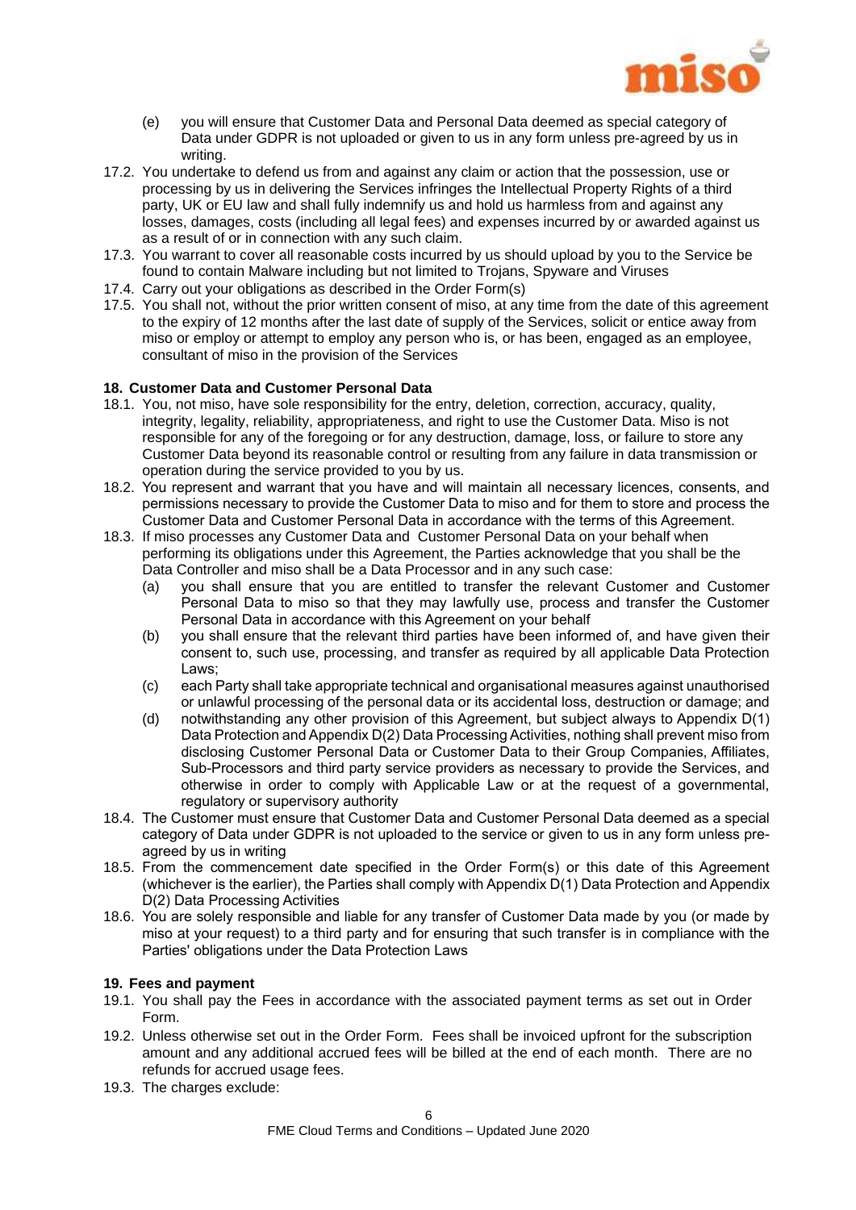

- (e) you will ensure that Customer Data and Personal Data deemed as special category of Data under GDPR is not uploaded or given to us in any form unless pre-agreed by us in writing.
- 17.2. You undertake to defend us from and against any claim or action that the possession, use or processing by us in delivering the Services infringes the Intellectual Property Rights of a third party, UK or EU law and shall fully indemnify us and hold us harmless from and against any losses, damages, costs (including all legal fees) and expenses incurred by or awarded against us as a result of or in connection with any such claim.
- 17.3. You warrant to cover all reasonable costs incurred by us should upload by you to the Service be found to contain Malware including but not limited to Trojans, Spyware and Viruses
- 17.4. Carry out your obligations as described in the Order Form(s)
- 17.5. You shall not, without the prior written consent of miso, at any time from the date of this agreement to the expiry of 12 months after the last date of supply of the Services, solicit or entice away from miso or employ or attempt to employ any person who is, or has been, engaged as an employee, consultant of miso in the provision of the Services

## <span id="page-6-1"></span>**18. Customer Data and Customer Personal Data**

- 18.1. You, not miso, have sole responsibility for the entry, deletion, correction, accuracy, quality, integrity, legality, reliability, appropriateness, and right to use the Customer Data. Miso is not responsible for any of the foregoing or for any destruction, damage, loss, or failure to store any Customer Data beyond its reasonable control or resulting from any failure in data transmission or operation during the service provided to you by us.
- 18.2. You represent and warrant that you have and will maintain all necessary licences, consents, and permissions necessary to provide the Customer Data to miso and for them to store and process the Customer Data and Customer Personal Data in accordance with the terms of this Agreement.
- 18.3. If miso processes any Customer Data and Customer Personal Data on your behalf when performing its obligations under this Agreement, the Parties acknowledge that you shall be the Data Controller and miso shall be a Data Processor and in any such case:
	- (a) you shall ensure that you are entitled to transfer the relevant Customer and Customer Personal Data to miso so that they may lawfully use, process and transfer the Customer Personal Data in accordance with this Agreement on your behalf
	- (b) you shall ensure that the relevant third parties have been informed of, and have given their consent to, such use, processing, and transfer as required by all applicable Data Protection Laws;
	- (c) each Party shall take appropriate technical and organisational measures against unauthorised or unlawful processing of the personal data or its accidental loss, destruction or damage; and
	- (d) notwithstanding any other provision of this Agreement, but subject always to Appendix D(1) Data Protection and Appendix D(2) Data Processing Activities, nothing shall prevent miso from disclosing Customer Personal Data or Customer Data to their Group Companies, Affiliates, Sub-Processors and third party service providers as necessary to provide the Services, and otherwise in order to comply with Applicable Law or at the request of a governmental, regulatory or supervisory authority
- 18.4. The Customer must ensure that Customer Data and Customer Personal Data deemed as a special category of Data under GDPR is not uploaded to the service or given to us in any form unless preagreed by us in writing
- 18.5. From the commencement date specified in the Order Form(s) or this date of this Agreement (whichever is the earlier), the Parties shall comply with Appendix D(1) Data Protection and Appendix D(2) Data Processing Activities
- 18.6. You are solely responsible and liable for any transfer of Customer Data made by you (or made by miso at your request) to a third party and for ensuring that such transfer is in compliance with the Parties' obligations under the Data Protection Laws

#### <span id="page-6-0"></span>**19. Fees and payment**

- 19.1. You shall pay the Fees in accordance with the associated payment terms as set out in Order Form.
- 19.2. Unless otherwise set out in the Order Form. Fees shall be invoiced upfront for the subscription amount and any additional accrued fees will be billed at the end of each month. There are no refunds for accrued usage fees.
- 19.3. The charges exclude: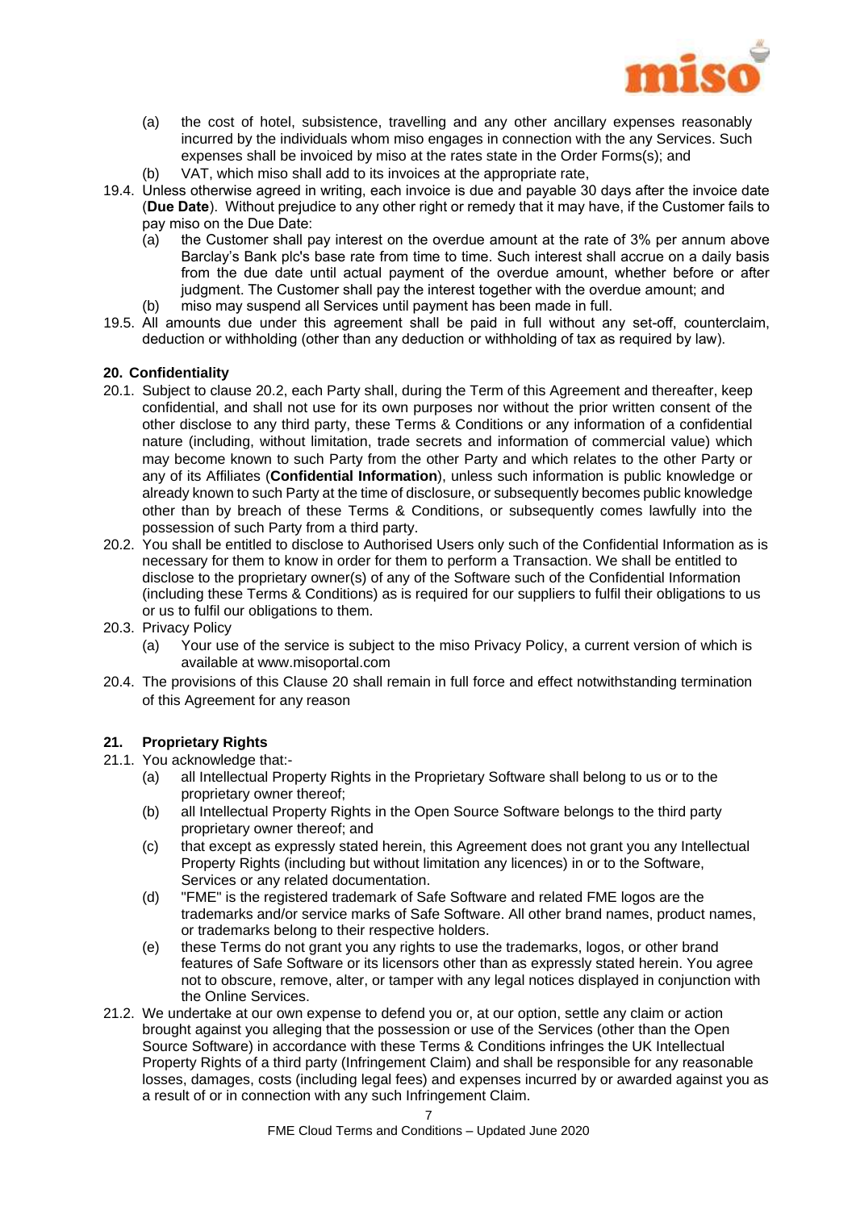

- (a) the cost of hotel, subsistence, travelling and any other ancillary expenses reasonably incurred by the individuals whom miso engages in connection with the any Services. Such expenses shall be invoiced by miso at the rates state in the Order Forms(s); and
- (b) VAT, which miso shall add to its invoices at the appropriate rate,
- 19.4. Unless otherwise agreed in writing, each invoice is due and payable 30 days after the invoice date (**Due Date**). Without prejudice to any other right or remedy that it may have, if the Customer fails to pay miso on the Due Date:
	- (a) the Customer shall pay interest on the overdue amount at the rate of 3% per annum above Barclay's Bank plc's base rate from time to time. Such interest shall accrue on a daily basis from the due date until actual payment of the overdue amount, whether before or after judgment. The Customer shall pay the interest together with the overdue amount; and
	- (b) miso may suspend all Services until payment has been made in full.
- 19.5. All amounts due under this agreement shall be paid in full without any set-off, counterclaim, deduction or withholding (other than any deduction or withholding of tax as required by law).

## <span id="page-7-1"></span>**20. Confidentiality**

- 20.1. Subject to clause [20.2, e](#page-7-0)ach Party shall, during the Term of this Agreement and thereafter, keep confidential, and shall not use for its own purposes nor without the prior written consent of the other disclose to any third party, these Terms & Conditions or any information of a confidential nature (including, without limitation, trade secrets and information of commercial value) which may become known to such Party from the other Party and which relates to the other Party or any of its Affiliates (**Confidential Information**), unless such information is public knowledge or already known to such Party at the time of disclosure, or subsequently becomes public knowledge other than by breach of these Terms & Conditions, or subsequently comes lawfully into the possession of such Party from a third party.
- <span id="page-7-0"></span>20.2. You shall be entitled to disclose to Authorised Users only such of the Confidential Information as is necessary for them to know in order for them to perform a Transaction. We shall be entitled to disclose to the proprietary owner(s) of any of the Software such of the Confidential Information (including these Terms & Conditions) as is required for our suppliers to fulfil their obligations to us or us to fulfil our obligations to them.
- 20.3. Privacy Policy
	- (a) Your use of the service is subject to the miso Privacy Policy, a current version of which is available at www.misoportal.com
- 20.4. The provisions of this Clause [20](#page-7-1) shall remain in full force and effect notwithstanding termination of this Agreement for any reason

## **21. Proprietary Rights**

- 21.1. You acknowledge that:-
	- (a) all Intellectual Property Rights in the Proprietary Software shall belong to us or to the proprietary owner thereof;
	- (b) all Intellectual Property Rights in the Open Source Software belongs to the third party proprietary owner thereof; and
	- (c) that except as expressly stated herein, this Agreement does not grant you any Intellectual Property Rights (including but without limitation any licences) in or to the Software, Services or any related documentation.
	- (d) "FME" is the registered trademark of Safe Software and related FME logos are the trademarks and/or service marks of Safe Software. All other brand names, product names, or trademarks belong to their respective holders.
	- (e) these Terms do not grant you any rights to use the trademarks, logos, or other brand features of Safe Software or its licensors other than as expressly stated herein. You agree not to obscure, remove, alter, or tamper with any legal notices displayed in conjunction with the Online Services.
- <span id="page-7-2"></span>21.2. We undertake at our own expense to defend you or, at our option, settle any claim or action brought against you alleging that the possession or use of the Services (other than the Open Source Software) in accordance with these Terms & Conditions infringes the UK Intellectual Property Rights of a third party (Infringement Claim) and shall be responsible for any reasonable losses, damages, costs (including legal fees) and expenses incurred by or awarded against you as a result of or in connection with any such Infringement Claim.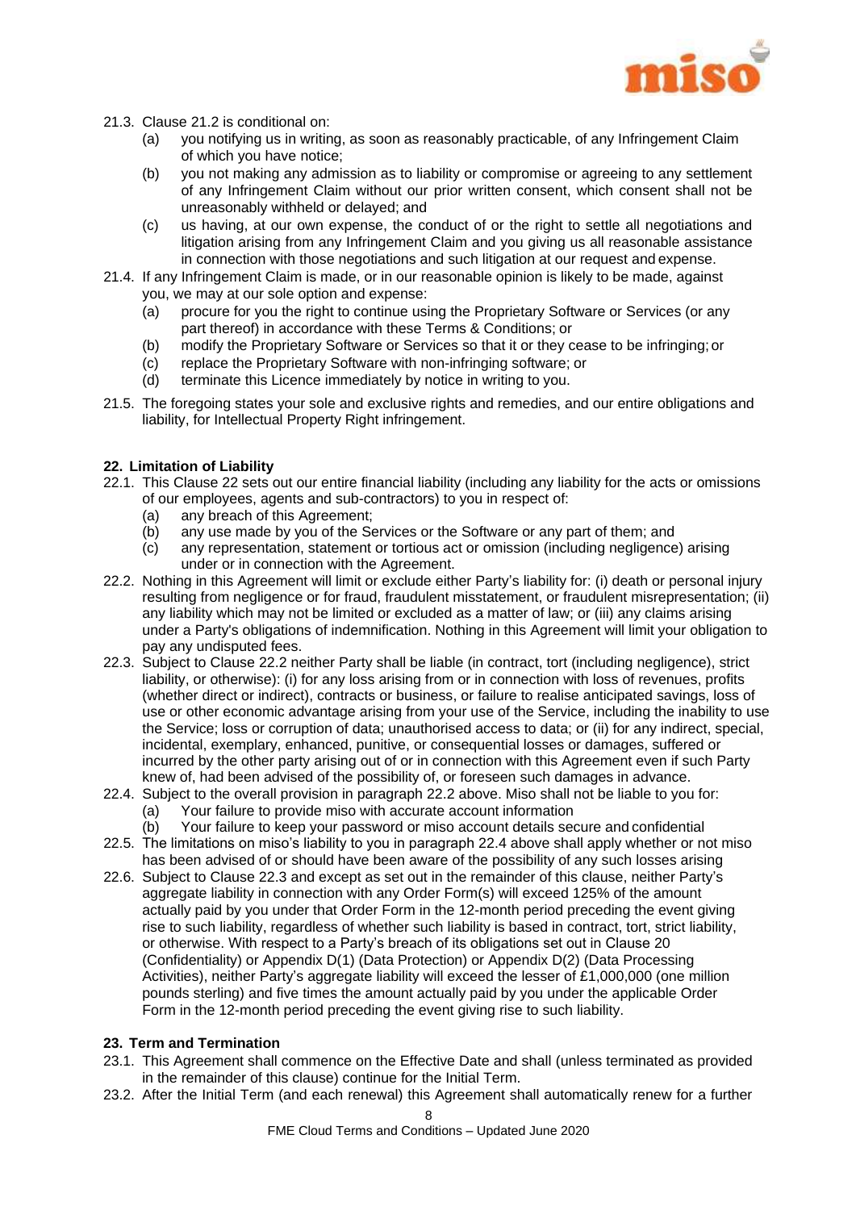

- 21.3. Clause [21.2](#page-7-2) is conditional on:
	- (a) you notifying us in writing, as soon as reasonably practicable, of any Infringement Claim of which you have notice;
	- (b) you not making any admission as to liability or compromise or agreeing to any settlement of any Infringement Claim without our prior written consent, which consent shall not be unreasonably withheld or delayed; and
	- (c) us having, at our own expense, the conduct of or the right to settle all negotiations and litigation arising from any Infringement Claim and you giving us all reasonable assistance in connection with those negotiations and such litigation at our request and expense.
- 21.4. If any Infringement Claim is made, or in our reasonable opinion is likely to be made, against you, we may at our sole option and expense:
	- (a) procure for you the right to continue using the Proprietary Software or Services (or any part thereof) in accordance with these Terms & Conditions; or
	- (b) modify the Proprietary Software or Services so that it or they cease to be infringing; or
	- (c) replace the Proprietary Software with non-infringing software; or
	- (d) terminate this Licence immediately by notice in writing to you.
- 21.5. The foregoing states your sole and exclusive rights and remedies, and our entire obligations and liability, for Intellectual Property Right infringement.

## <span id="page-8-0"></span>**22. Limitation of Liability**

- 22.1. This Clause [22](#page-8-0) sets out our entire financial liability (including any liability for the acts or omissions of our employees, agents and sub-contractors) to you in respect of:
	- (a) any breach of this Agreement;
	- (b) any use made by you of the Services or the Software or any part of them; and
	- (c) any representation, statement or tortious act or omission (including negligence) arising under or in connection with the Agreement.
- <span id="page-8-1"></span>22.2. Nothing in this Agreement will limit or exclude either Party's liability for: (i) death or personal injury resulting from negligence or for fraud, fraudulent misstatement, or fraudulent misrepresentation; (ii) any liability which may not be limited or excluded as a matter of law; or (iii) any claims arising under a Party's obligations of indemnification. Nothing in this Agreement will limit your obligation to pay any undisputed fees.
- <span id="page-8-3"></span>22.3. Subject to Clause [22.2](#page-8-1) neither Party shall be liable (in contract, tort (including negligence), strict liability, or otherwise): (i) for any loss arising from or in connection with loss of revenues, profits (whether direct or indirect), contracts or business, or failure to realise anticipated savings, loss of use or other economic advantage arising from your use of the Service, including the inability to use the Service; loss or corruption of data; unauthorised access to data; or (ii) for any indirect, special, incidental, exemplary, enhanced, punitive, or consequential losses or damages, suffered or incurred by the other party arising out of or in connection with this Agreement even if such Party knew of, had been advised of the possibility of, or foreseen such damages in advance.
- <span id="page-8-2"></span>22.4. Subject to the overall provision in paragraph [22.2](#page-8-1) above. Miso shall not be liable to you for:
	- (a) Your failure to provide miso with accurate account information
	- (b) Your failure to keep your password or miso account details secure and confidential
- 22.5. The limitations on miso's liability to you in paragraph [22.4](#page-8-2) above shall apply whether or not miso has been advised of or should have been aware of the possibility of any such losses arising
- 22.6. Subject to Clause [22.3](#page-8-3) and except as set out in the remainder of this clause, neither Party's aggregate liability in connection with any Order Form(s) will exceed 125% of the amount actually paid by you under that Order Form in the 12-month period preceding the event giving rise to such liability, regardless of whether such liability is based in contract, tort, strict liability, or otherwise. With respect to a Party's breach of its obligations set out in Clause [20](#page-7-1) (Confidentiality) or Appendix D(1) (Data Protection) or Appendix D(2) (Data Processing Activities), neither Party's aggregate liability will exceed the lesser of £1,000,000 (one million pounds sterling) and five times the amount actually paid by you under the applicable Order Form in the 12-month period preceding the event giving rise to such liability.

#### **23. Term and Termination**

- 23.1. This Agreement shall commence on the Effective Date and shall (unless terminated as provided in the remainder of this clause) continue for the Initial Term.
- 23.2. After the Initial Term (and each renewal) this Agreement shall automatically renew for a further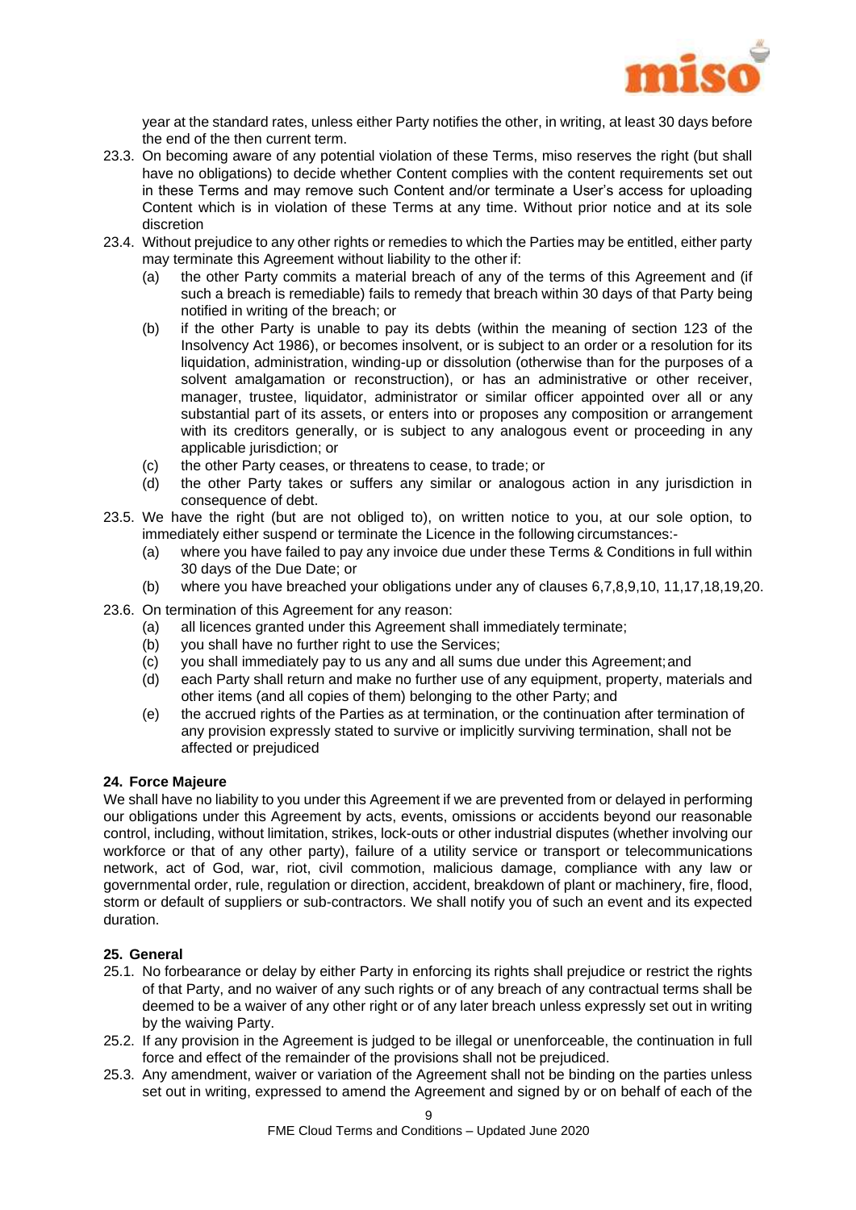

year at the standard rates, unless either Party notifies the other, in writing, at least 30 days before the end of the then current term.

- 23.3. On becoming aware of any potential violation of these Terms, miso reserves the right (but shall have no obligations) to decide whether Content complies with the content requirements set out in these Terms and may remove such Content and/or terminate a User's access for uploading Content which is in violation of these Terms at any time. Without prior notice and at its sole discretion
- 23.4. Without prejudice to any other rights or remedies to which the Parties may be entitled, either party may terminate this Agreement without liability to the other if:
	- (a) the other Party commits a material breach of any of the terms of this Agreement and (if such a breach is remediable) fails to remedy that breach within 30 days of that Party being notified in writing of the breach; or
	- (b) if the other Party is unable to pay its debts (within the meaning of section 123 of the Insolvency Act 1986), or becomes insolvent, or is subject to an order or a resolution for its liquidation, administration, winding-up or dissolution (otherwise than for the purposes of a solvent amalgamation or reconstruction), or has an administrative or other receiver, manager, trustee, liquidator, administrator or similar officer appointed over all or any substantial part of its assets, or enters into or proposes any composition or arrangement with its creditors generally, or is subject to any analogous event or proceeding in any applicable jurisdiction; or
	- (c) the other Party ceases, or threatens to cease, to trade; or
	- (d) the other Party takes or suffers any similar or analogous action in any jurisdiction in consequence of debt.
- 23.5. We have the right (but are not obliged to), on written notice to you, at our sole option, to immediately either suspend or terminate the Licence in the following circumstances:-
	- (a) where you have failed to pay any invoice due under these Terms & Conditions in full within 30 days of the Due Date; or
	- (b) where you have breached your obligations under any of clauses [6,](#page-3-0)[7](#page-3-1)[,8,](#page-4-0)[9,](#page-4-1)[10,](#page-4-2) [11](#page-5-0)[,17](#page-5-1)[,18](#page-6-1)[,19](#page-6-0)[,20.](#page-7-1)
- 23.6. On termination of this Agreement for any reason:
	- (a) all licences granted under this Agreement shall immediately terminate;
	- (b) you shall have no further right to use the Services;
	- (c) you shall immediately pay to us any and all sums due under this Agreement;and
	- (d) each Party shall return and make no further use of any equipment, property, materials and other items (and all copies of them) belonging to the other Party; and
	- (e) the accrued rights of the Parties as at termination, or the continuation after termination of any provision expressly stated to survive or implicitly surviving termination, shall not be affected or prejudiced

#### **24. Force Majeure**

We shall have no liability to you under this Agreement if we are prevented from or delayed in performing our obligations under this Agreement by acts, events, omissions or accidents beyond our reasonable control, including, without limitation, strikes, lock-outs or other industrial disputes (whether involving our workforce or that of any other party), failure of a utility service or transport or telecommunications network, act of God, war, riot, civil commotion, malicious damage, compliance with any law or governmental order, rule, regulation or direction, accident, breakdown of plant or machinery, fire, flood, storm or default of suppliers or sub-contractors. We shall notify you of such an event and its expected duration.

## <span id="page-9-0"></span>**25. General**

- 25.1. No forbearance or delay by either Party in enforcing its rights shall prejudice or restrict the rights of that Party, and no waiver of any such rights or of any breach of any contractual terms shall be deemed to be a waiver of any other right or of any later breach unless expressly set out in writing by the waiving Party.
- 25.2. If any provision in the Agreement is judged to be illegal or unenforceable, the continuation in full force and effect of the remainder of the provisions shall not be prejudiced.
- 25.3. Any amendment, waiver or variation of the Agreement shall not be binding on the parties unless set out in writing, expressed to amend the Agreement and signed by or on behalf of each of the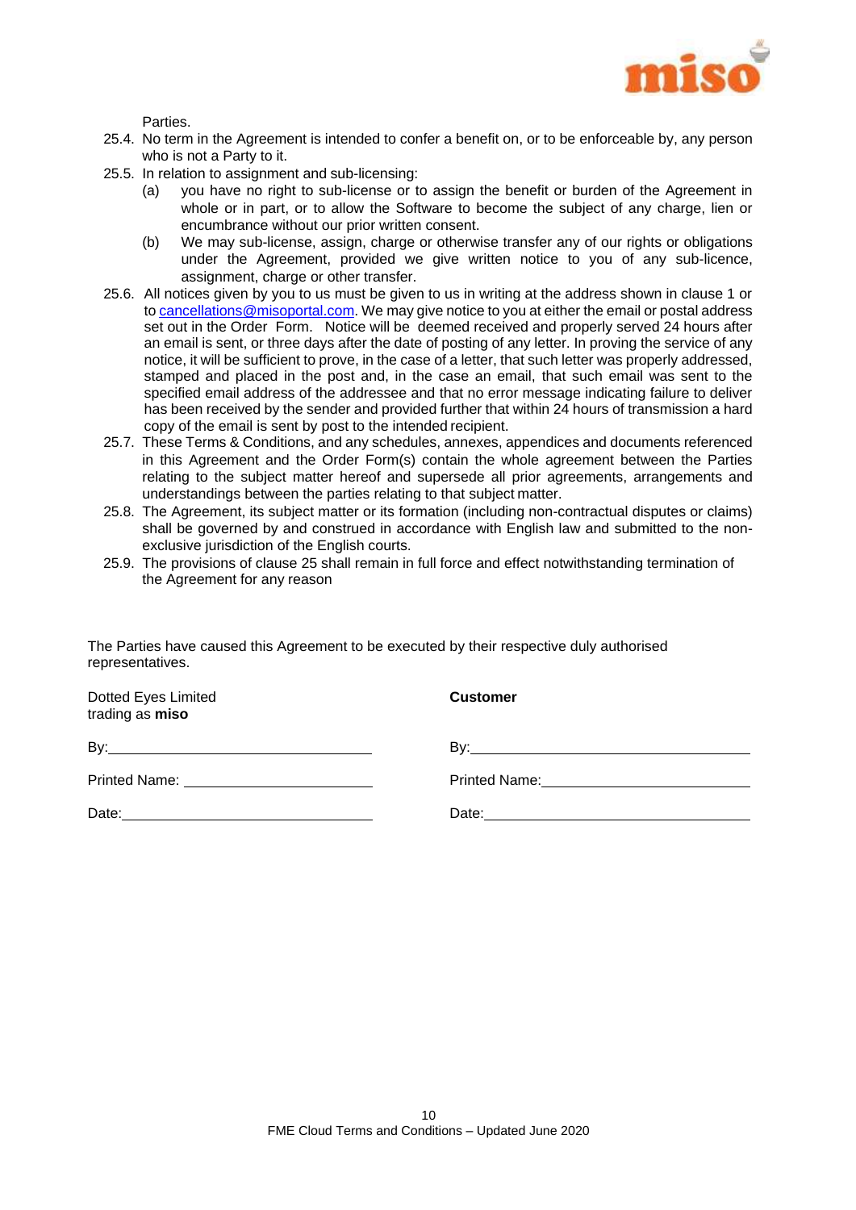

Parties.

- 25.4. No term in the Agreement is intended to confer a benefit on, or to be enforceable by, any person who is not a Party to it.
- 25.5. In relation to assignment and sub-licensing:
	- (a) you have no right to sub-license or to assign the benefit or burden of the Agreement in whole or in part, or to allow the Software to become the subject of any charge, lien or encumbrance without our prior written consent.
	- (b) We may sub-license, assign, charge or otherwise transfer any of our rights or obligations under the Agreement, provided we give written notice to you of any sub-licence, assignment, charge or other transfer.
- 25.6. All notices given by you to us must be given to us in writing at the address shown in clause 1 or to [cancellations@misoportal.com.](mailto:cancellations@misoportal.com) We may give notice to you at either the email or postal address set out in the Order Form. Notice will be deemed received and properly served 24 hours after an email is sent, or three days after the date of posting of any letter. In proving the service of any notice, it will be sufficient to prove, in the case of a letter, that such letter was properly addressed, stamped and placed in the post and, in the case an email, that such email was sent to the specified email address of the addressee and that no error message indicating failure to deliver has been received by the sender and provided further that within 24 hours of transmission a hard copy of the email is sent by post to the intended recipient.
- 25.7. These Terms & Conditions, and any schedules, annexes, appendices and documents referenced in this Agreement and the Order Form(s) contain the whole agreement between the Parties relating to the subject matter hereof and supersede all prior agreements, arrangements and understandings between the parties relating to that subject matter.
- 25.8. The Agreement, its subject matter or its formation (including non-contractual disputes or claims) shall be governed by and construed in accordance with English law and submitted to the nonexclusive jurisdiction of the English courts.
- 25.9. The provisions of clause [25](#page-9-0) shall remain in full force and effect notwithstanding termination of the Agreement for any reason

**Customer**

| The Parties have caused this Agreement to be executed by their respective duly authorised |  |
|-------------------------------------------------------------------------------------------|--|
| representatives.                                                                          |  |

Dotted Eyes Limited trading as **miso**

By: By:

Printed Name: Printed Name:

Date: **Date: Date: Date: Date: Date: Date: Date: Date: Date: Date: Date: Date: Date: Date: Date: Date: Date: Date: Date: Date: Date: Date: Date: Date: Date: Date: Date:**

|       | <b>FILINGU INGHIIG.</b> |  |  |
|-------|-------------------------|--|--|
| Date: |                         |  |  |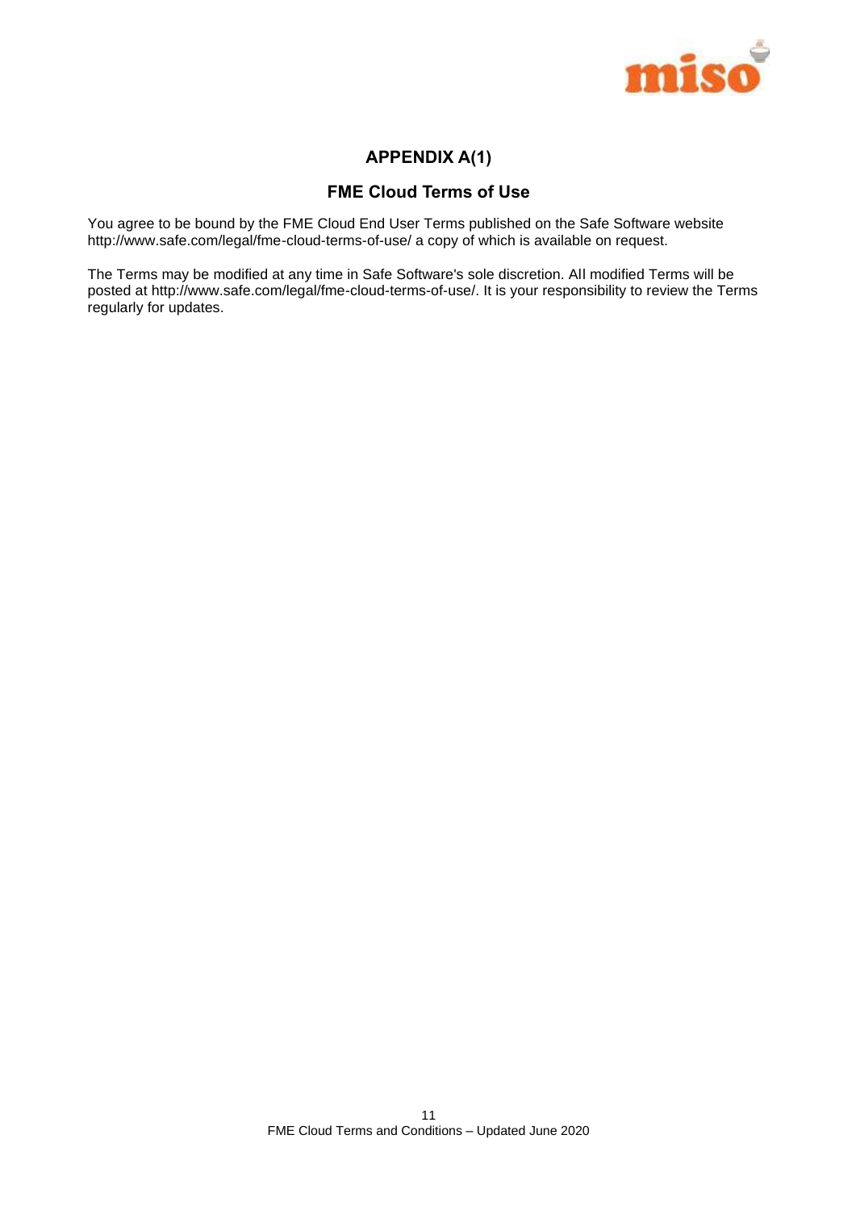

## **APPENDIX A(1)**

## **FME Cloud Terms of Use**

You agree to be bound by the FME Cloud End User Terms published on the Safe Software website [http://www.safe.com/legal/fme-cloud-terms-of-use/](https://www.safe.com/legal/terms-and-conditions/fme-cloud-terms-of-use/) a copy of which is available on request.

The Terms may be modified at any time in Safe Software's sole discretion. All modified Terms will be posted at [http://www.safe.com/legal/fme-cloud-terms-of-use/.](https://www.safe.com/legal/terms-and-conditions/fme-cloud-terms-of-use/) It is your responsibility to review the Terms regularly for updates.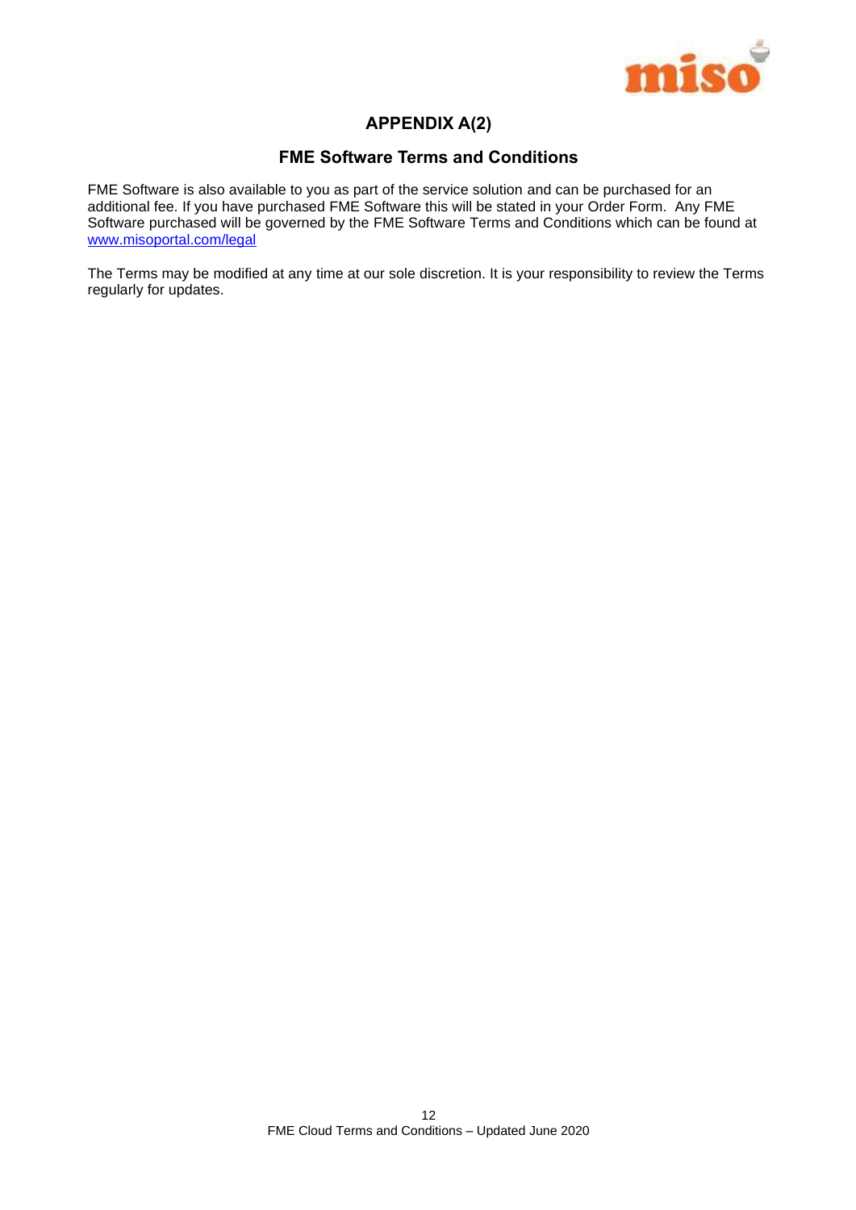

## **APPENDIX A(2)**

## **FME Software Terms and Conditions**

FME Software is also available to you as part of the service solution and can be purchased for an additional fee. If you have purchased FME Software this will be stated in your Order Form. Any FME Software purchased will be governed by the FME Software Terms and Conditions which can be found at [www.misoportal.com/legal](http://www.misoportal.com/legal)

The Terms may be modified at any time at our sole discretion. It is your responsibility to review the Terms regularly for updates.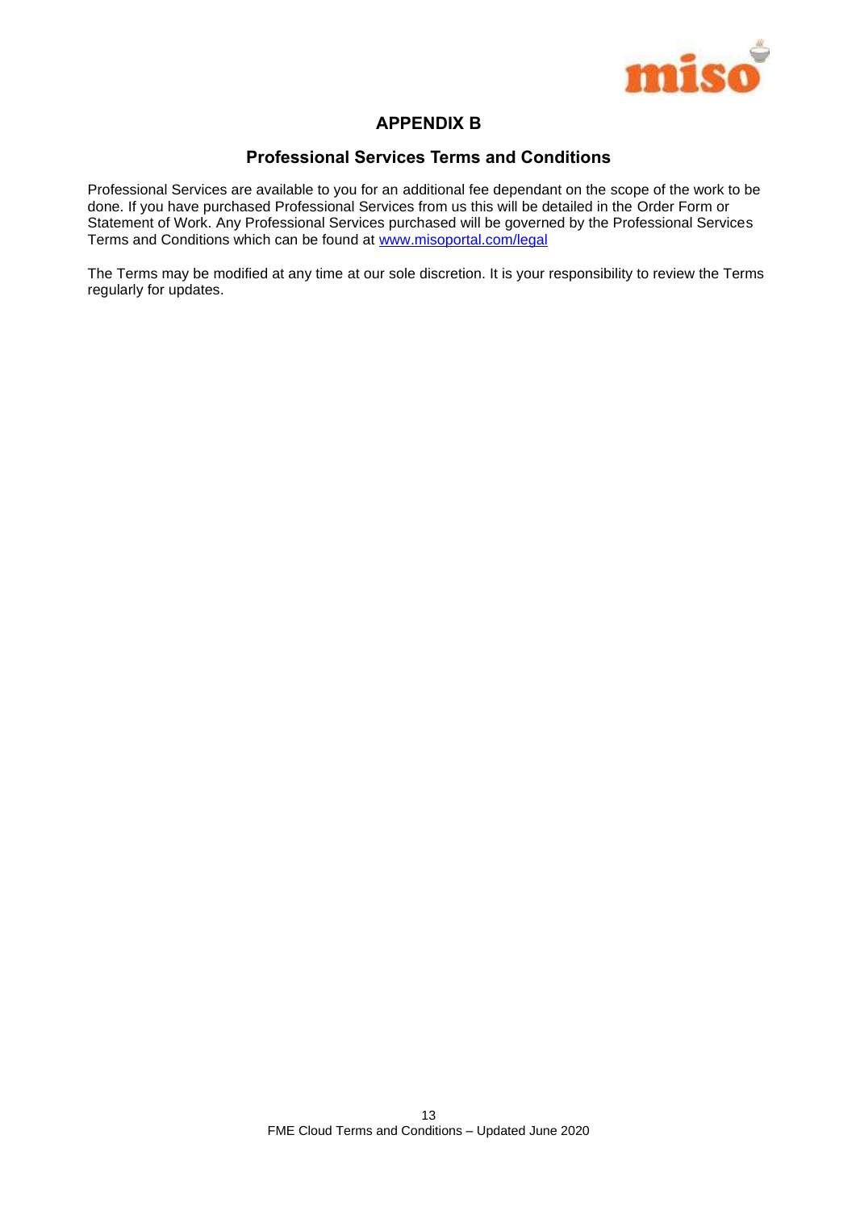

## **APPENDIX B**

## **Professional Services Terms and Conditions**

Professional Services are available to you for an additional fee dependant on the scope of the work to be done. If you have purchased Professional Services from us this will be detailed in the Order Form or Statement of Work. Any Professional Services purchased will be governed by the Professional Services Terms and Conditions which can be found at [www.misoportal.com/legal](http://www.misoportal.com/legal)

The Terms may be modified at any time at our sole discretion. It is your responsibility to review the Terms regularly for updates.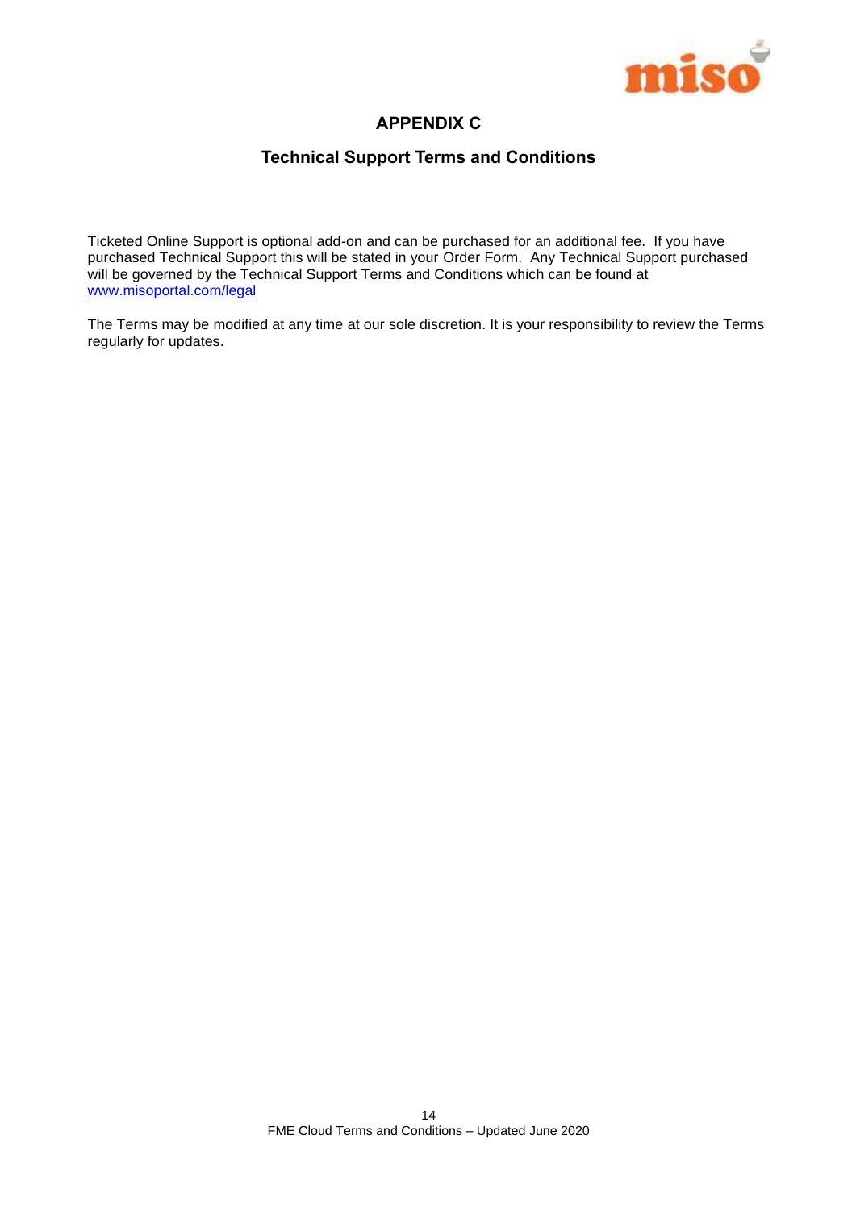

## **APPENDIX C**

## **Technical Support Terms and Conditions**

Ticketed Online Support is optional add-on and can be purchased for an additional fee. If you have purchased Technical Support this will be stated in your Order Form. Any Technical Support purchased will be governed by the Technical Support Terms and Conditions which can be found at [www.misoportal.com/legal](http://www.misoportal.com/legal)

The Terms may be modified at any time at our sole discretion. It is your responsibility to review the Terms regularly for updates.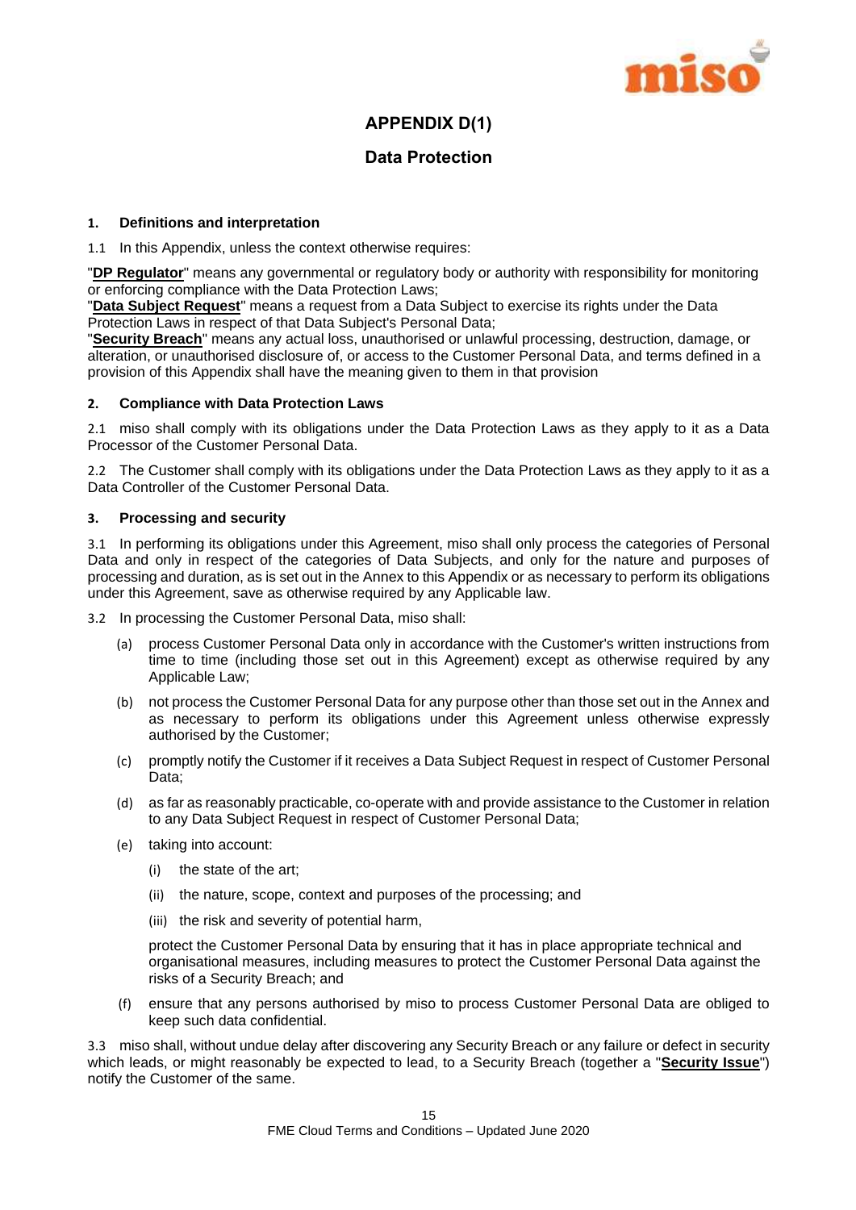

## **APPENDIX D(1)**

## **Data Protection**

## **1. Definitions and interpretation**

1.1 In this Appendix, unless the context otherwise requires:

"**DP Regulator**" means any governmental or regulatory body or authority with responsibility for monitoring or enforcing compliance with the Data Protection Laws;

"**Data Subject Request**" means a request from a Data Subject to exercise its rights under the Data Protection Laws in respect of that Data Subject's Personal Data;

"**Security Breach**" means any actual loss, unauthorised or unlawful processing, destruction, damage, or alteration, or unauthorised disclosure of, or access to the Customer Personal Data, and terms defined in a provision of this Appendix shall have the meaning given to them in that provision

#### **2. Compliance with Data Protection Laws**

2.1 miso shall comply with its obligations under the Data Protection Laws as they apply to it as a Data Processor of the Customer Personal Data.

2.2 The Customer shall comply with its obligations under the Data Protection Laws as they apply to it as a Data Controller of the Customer Personal Data.

## **3. Processing and security**

3.1 In performing its obligations under this Agreement, miso shall only process the categories of Personal Data and only in respect of the categories of Data Subjects, and only for the nature and purposes of processing and duration, as is set out in the Annex to this Appendix or as necessary to perform its obligations under this Agreement, save as otherwise required by any Applicable law.

3.2 In processing the Customer Personal Data, miso shall:

- (a) process Customer Personal Data only in accordance with the Customer's written instructions from time to time (including those set out in this Agreement) except as otherwise required by any Applicable Law;
- (b) not process the Customer Personal Data for any purpose other than those set out in the Annex and as necessary to perform its obligations under this Agreement unless otherwise expressly authorised by the Customer;
- (c) promptly notify the Customer if it receives a Data Subject Request in respect of Customer Personal Data;
- (d) as far as reasonably practicable, co-operate with and provide assistance to the Customer in relation to any Data Subject Request in respect of Customer Personal Data;
- (e) taking into account:
	- (i) the state of the art;
	- (ii) the nature, scope, context and purposes of the processing; and
	- (iii) the risk and severity of potential harm,

protect the Customer Personal Data by ensuring that it has in place appropriate technical and organisational measures, including measures to protect the Customer Personal Data against the risks of a Security Breach; and

(f) ensure that any persons authorised by miso to process Customer Personal Data are obliged to keep such data confidential.

3.3 miso shall, without undue delay after discovering any Security Breach or any failure or defect in security which leads, or might reasonably be expected to lead, to a Security Breach (together a "**Security Issue**") notify the Customer of the same.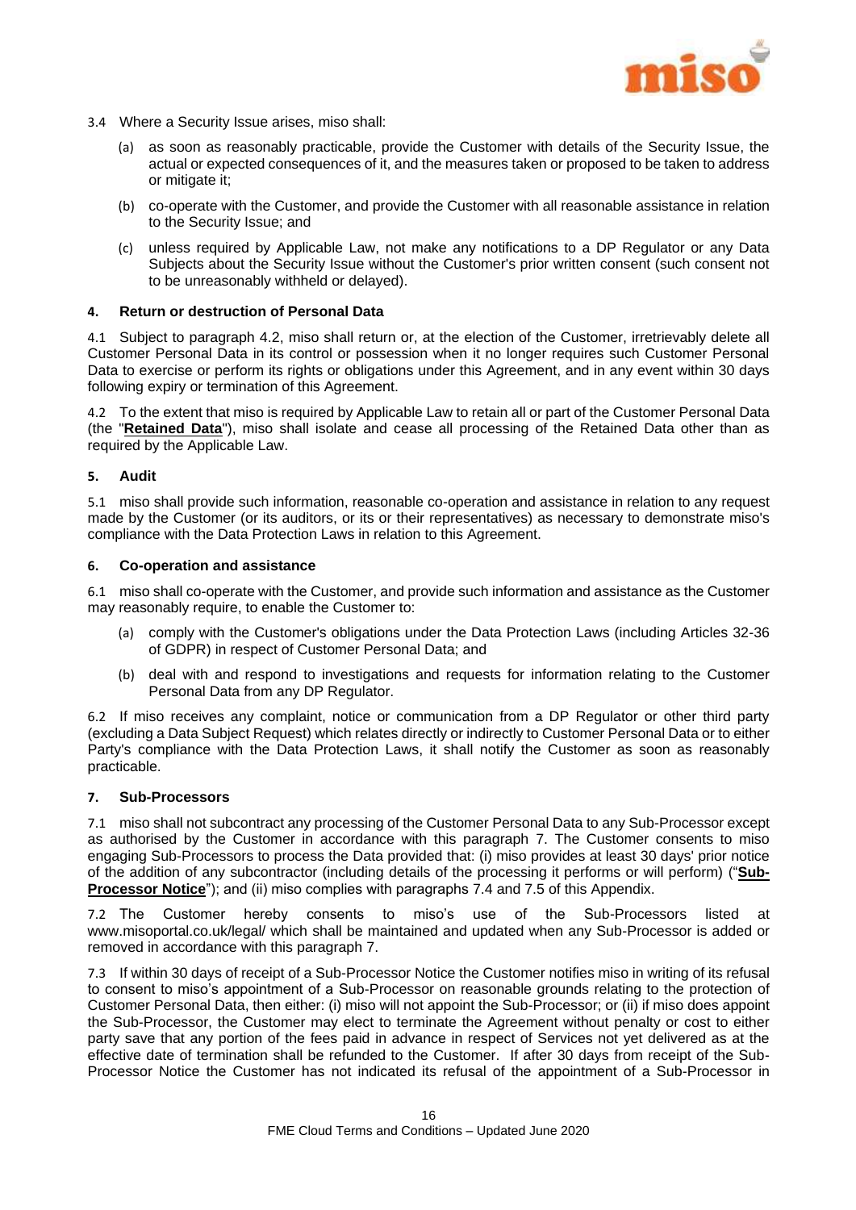

- 3.4 Where a Security Issue arises, miso shall:
	- (a) as soon as reasonably practicable, provide the Customer with details of the Security Issue, the actual or expected consequences of it, and the measures taken or proposed to be taken to address or mitigate it;
	- (b) co-operate with the Customer, and provide the Customer with all reasonable assistance in relation to the Security Issue; and
	- (c) unless required by Applicable Law, not make any notifications to a DP Regulator or any Data Subjects about the Security Issue without the Customer's prior written consent (such consent not to be unreasonably withheld or delayed).

## **4. Return or destruction of Personal Data**

4.1 Subject to paragraph [4.2,](#page-16-0) miso shall return or, at the election of the Customer, irretrievably delete all Customer Personal Data in its control or possession when it no longer requires such Customer Personal Data to exercise or perform its rights or obligations under this Agreement, and in any event within 30 days following expiry or termination of this Agreement.

<span id="page-16-0"></span>4.2 To the extent that miso is required by Applicable Law to retain all or part of the Customer Personal Data (the "**Retained Data**"), miso shall isolate and cease all processing of the Retained Data other than as required by the Applicable Law.

#### **5. Audit**

5.1 miso shall provide such information, reasonable co-operation and assistance in relation to any request made by the Customer (or its auditors, or its or their representatives) as necessary to demonstrate miso's compliance with the Data Protection Laws in relation to this Agreement.

#### **6. Co-operation and assistance**

6.1 miso shall co-operate with the Customer, and provide such information and assistance as the Customer may reasonably require, to enable the Customer to:

- (a) comply with the Customer's obligations under the Data Protection Laws (including Articles 32-36 of GDPR) in respect of Customer Personal Data; and
- (b) deal with and respond to investigations and requests for information relating to the Customer Personal Data from any DP Regulator.

6.2 If miso receives any complaint, notice or communication from a DP Regulator or other third party (excluding a Data Subject Request) which relates directly or indirectly to Customer Personal Data or to either Party's compliance with the Data Protection Laws, it shall notify the Customer as soon as reasonably practicable.

## <span id="page-16-1"></span>**7. Sub-Processors**

7.1 miso shall not subcontract any processing of the Customer Personal Data to any Sub-Processor except as authorised by the Customer in accordance with this paragraph [7.](#page-16-1) The Customer consents to miso engaging Sub-Processors to process the Data provided that: (i) miso provides at least 30 days' prior notice of the addition of any subcontractor (including details of the processing it performs or will perform) ("**Sub-Processor Notice**"); and (ii) miso complies with paragraphs [7.4](#page-17-0) and [7.5](#page-17-1) of this Appendix.

7.2 The Customer hereby consents to miso's use of the Sub-Processors listed at www.misoportal.co.uk/legal/ which shall be maintained and updated when any Sub-Processor is added or removed in accordance with this paragraph [7.](#page-16-1)

7.3 If within 30 days of receipt of a Sub-Processor Notice the Customer notifies miso in writing of its refusal to consent to miso's appointment of a Sub-Processor on reasonable grounds relating to the protection of Customer Personal Data, then either: (i) miso will not appoint the Sub-Processor; or (ii) if miso does appoint the Sub-Processor, the Customer may elect to terminate the Agreement without penalty or cost to either party save that any portion of the fees paid in advance in respect of Services not yet delivered as at the effective date of termination shall be refunded to the Customer. If after 30 days from receipt of the Sub-Processor Notice the Customer has not indicated its refusal of the appointment of a Sub-Processor in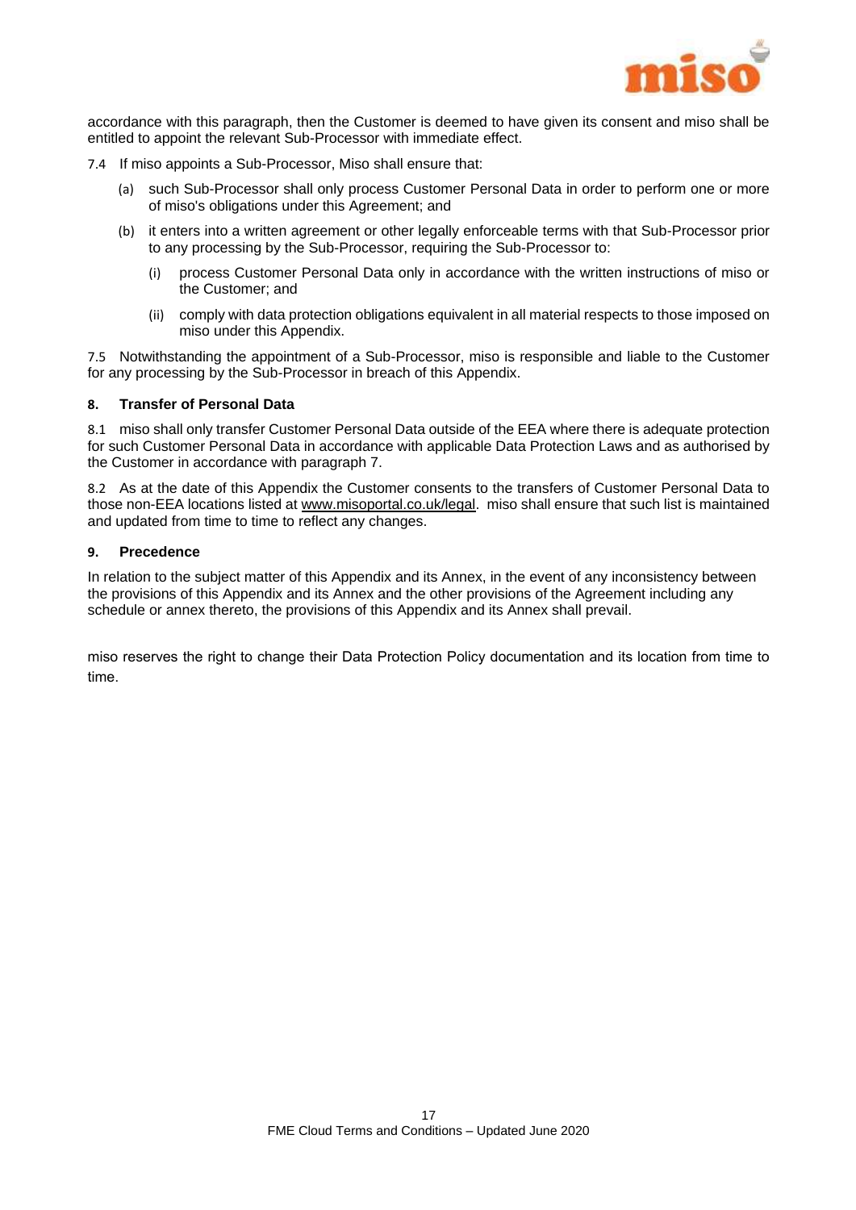

accordance with this paragraph, then the Customer is deemed to have given its consent and miso shall be entitled to appoint the relevant Sub-Processor with immediate effect.

- <span id="page-17-0"></span>7.4 If miso appoints a Sub-Processor, Miso shall ensure that:
	- (a) such Sub-Processor shall only process Customer Personal Data in order to perform one or more of miso's obligations under this Agreement; and
	- (b) it enters into a written agreement or other legally enforceable terms with that Sub-Processor prior to any processing by the Sub-Processor, requiring the Sub-Processor to:
		- (i) process Customer Personal Data only in accordance with the written instructions of miso or the Customer; and
		- (ii) comply with data protection obligations equivalent in all material respects to those imposed on miso under this Appendix.

<span id="page-17-1"></span>7.5 Notwithstanding the appointment of a Sub-Processor, miso is responsible and liable to the Customer for any processing by the Sub-Processor in breach of this Appendix.

#### **8. Transfer of Personal Data**

8.1 miso shall only transfer Customer Personal Data outside of the EEA where there is adequate protection for such Customer Personal Data in accordance with applicable Data Protection Laws and as authorised by the Customer in accordance with paragraph 7.

8.2 As at the date of this Appendix the Customer consents to the transfers of Customer Personal Data to those non-EEA locations listed a[t www.misoportal.co.uk/legal.](http://www.misoportal.co.uk/legal) miso shall ensure that such list is maintained and updated from time to time to reflect any changes.

#### **9. Precedence**

In relation to the subject matter of this Appendix and its Annex, in the event of any inconsistency between the provisions of this Appendix and its Annex and the other provisions of the Agreement including any schedule or annex thereto, the provisions of this Appendix and its Annex shall prevail.

miso reserves the right to change their Data Protection Policy documentation and its location from time to time.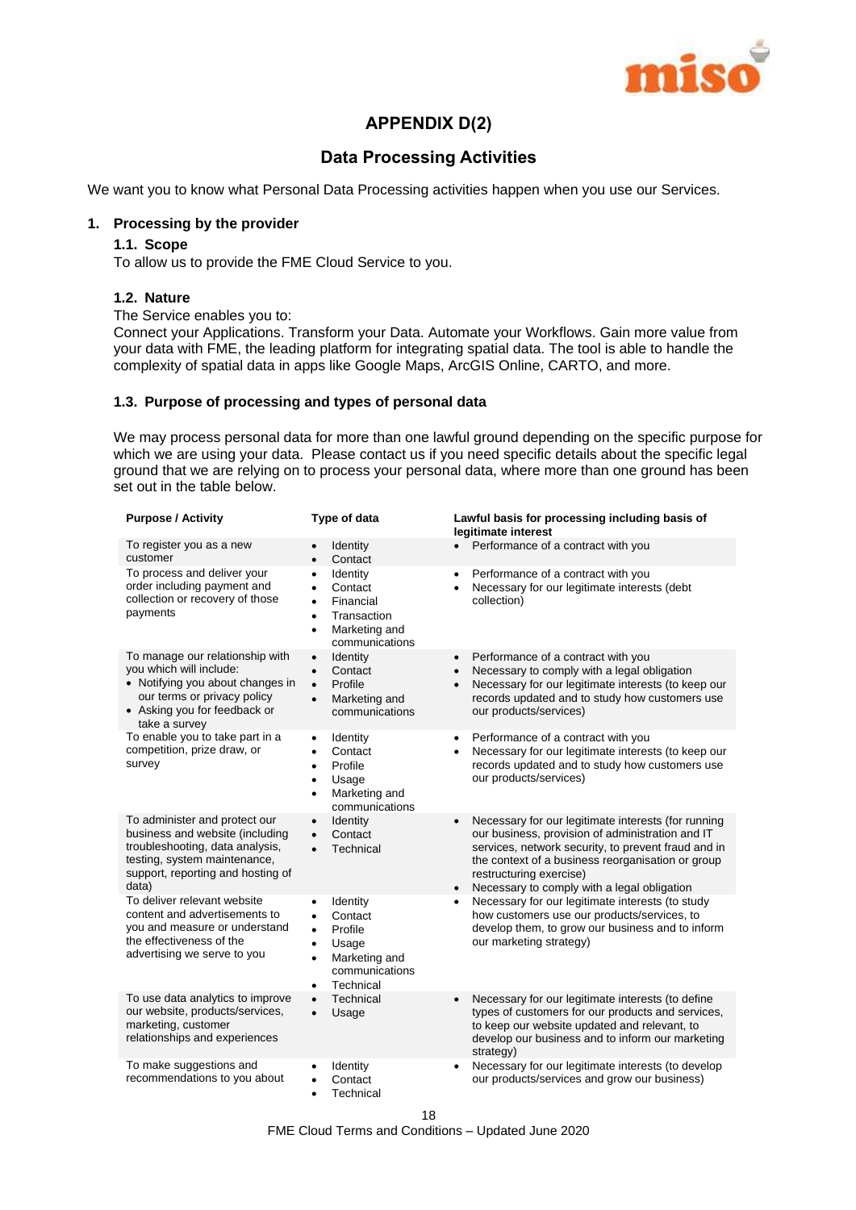

## **APPENDIX D(2)**

## **Data Processing Activities**

We want you to know what Personal Data Processing activities happen when you use our Services.

## **1. Processing by the provider**

#### **1.1. Scope**

To allow us to provide the FME Cloud Service to you.

## **1.2. Nature**

#### The Service enables you to:

Connect your Applications. Transform your Data. Automate your Workflows. Gain more value from your data with FME, the leading platform for integrating spatial data. The tool is able to handle the complexity of spatial data in apps like Google Maps, ArcGIS Online, CARTO, and more.

#### **1.3. Purpose of processing and types of personal data**

We may process personal data for more than one lawful ground depending on the specific purpose for which we are using your data. Please contact us if you need specific details about the specific legal ground that we are relying on to process your personal data, where more than one ground has been set out in the table below.

| <b>Purpose / Activity</b>                                                                                                                                                         | Type of data                                                                                                                                                          | Lawful basis for processing including basis of<br>legitimate interest                                                                                                                                                                                                                                                   |
|-----------------------------------------------------------------------------------------------------------------------------------------------------------------------------------|-----------------------------------------------------------------------------------------------------------------------------------------------------------------------|-------------------------------------------------------------------------------------------------------------------------------------------------------------------------------------------------------------------------------------------------------------------------------------------------------------------------|
| To register you as a new<br>customer                                                                                                                                              | Identity<br>Contact<br>$\bullet$                                                                                                                                      | Performance of a contract with you<br>$\bullet$                                                                                                                                                                                                                                                                         |
| To process and deliver your<br>order including payment and<br>collection or recovery of those<br>payments                                                                         | Identity<br>$\bullet$<br>Contact<br>$\bullet$<br>Financial<br>$\bullet$<br>Transaction<br>٠<br>Marketing and<br>$\bullet$<br>communications                           | Performance of a contract with you<br>$\bullet$<br>Necessary for our legitimate interests (debt<br>$\bullet$<br>collection)                                                                                                                                                                                             |
| To manage our relationship with<br>you which will include:<br>• Notifying you about changes in<br>our terms or privacy policy<br>• Asking you for feedback or<br>take a survey    | Identity<br>$\bullet$<br>Contact<br>$\bullet$<br>Profile<br>$\bullet$<br>Marketing and<br>$\bullet$<br>communications                                                 | Performance of a contract with you<br>$\bullet$<br>Necessary to comply with a legal obligation<br>$\bullet$<br>Necessary for our legitimate interests (to keep our<br>$\bullet$<br>records updated and to study how customers use<br>our products/services)                                                             |
| To enable you to take part in a<br>competition, prize draw, or<br>survey                                                                                                          | Identity<br>$\bullet$<br>Contact<br>$\bullet$<br>Profile<br>$\bullet$<br>Usage<br>$\bullet$<br>Marketing and<br>$\bullet$<br>communications                           | Performance of a contract with you<br>$\bullet$<br>Necessary for our legitimate interests (to keep our<br>$\bullet$<br>records updated and to study how customers use<br>our products/services)                                                                                                                         |
| To administer and protect our<br>business and website (including<br>troubleshooting, data analysis,<br>testing, system maintenance,<br>support, reporting and hosting of<br>data) | Identity<br>$\bullet$<br>Contact<br>$\bullet$<br>Technical<br>$\bullet$                                                                                               | Necessary for our legitimate interests (for running<br>$\bullet$<br>our business, provision of administration and IT<br>services, network security, to prevent fraud and in<br>the context of a business reorganisation or group<br>restructuring exercise)<br>Necessary to comply with a legal obligation<br>$\bullet$ |
| To deliver relevant website<br>content and advertisements to<br>you and measure or understand<br>the effectiveness of the<br>advertising we serve to you                          | Identity<br>$\bullet$<br>Contact<br>$\bullet$<br>Profile<br>$\bullet$<br>Usage<br>$\bullet$<br>Marketing and<br>$\bullet$<br>communications<br>Technical<br>$\bullet$ | Necessary for our legitimate interests (to study<br>$\bullet$<br>how customers use our products/services, to<br>develop them, to grow our business and to inform<br>our marketing strategy)                                                                                                                             |
| To use data analytics to improve<br>our website, products/services,<br>marketing, customer<br>relationships and experiences                                                       | Technical<br>$\bullet$<br>Usage<br>$\bullet$                                                                                                                          | Necessary for our legitimate interests (to define<br>$\bullet$<br>types of customers for our products and services,<br>to keep our website updated and relevant, to<br>develop our business and to inform our marketing<br>strategy)                                                                                    |
| To make suggestions and<br>recommendations to you about                                                                                                                           | Identity<br>Contact<br>Technical<br>$\bullet$                                                                                                                         | Necessary for our legitimate interests (to develop<br>our products/services and grow our business)                                                                                                                                                                                                                      |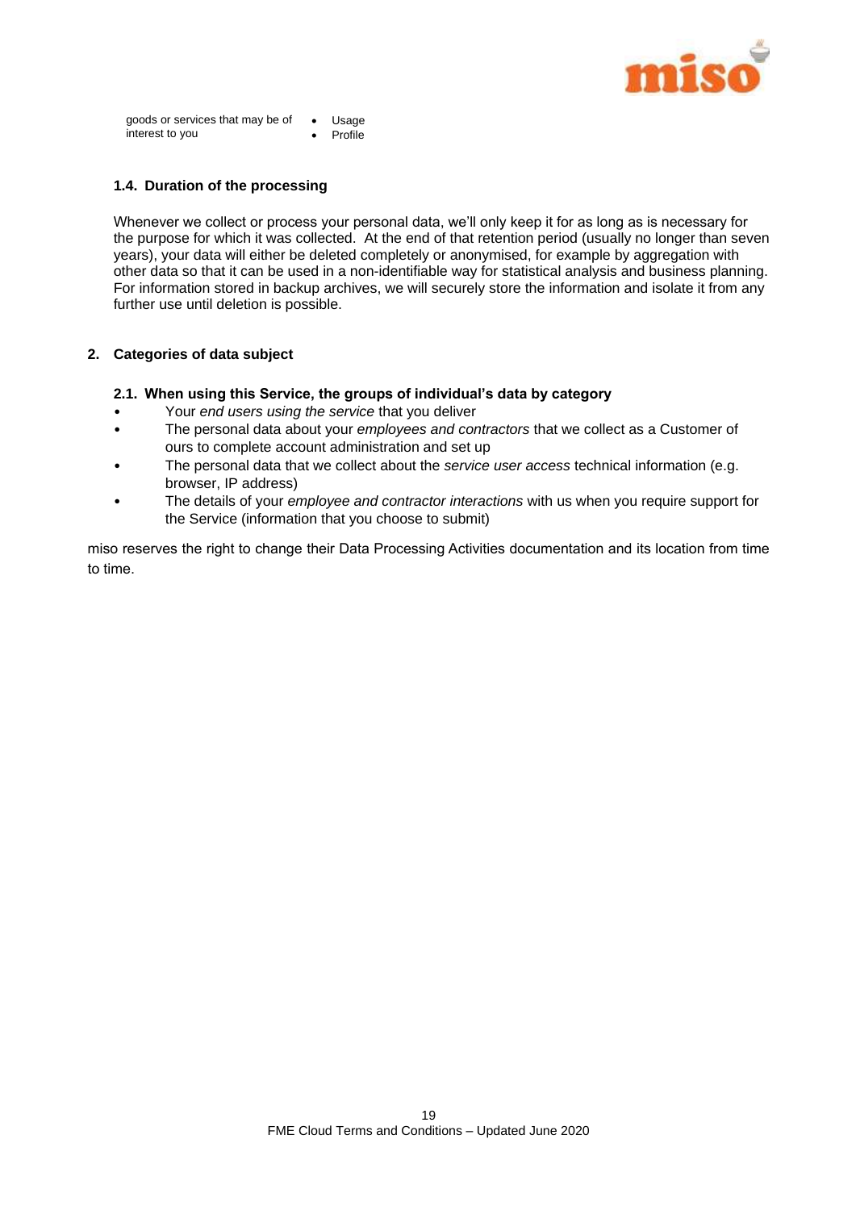

goods or services that may be of interest to you Usage Profile

## **1.4. Duration of the processing**

Whenever we collect or process your personal data, we'll only keep it for as long as is necessary for the purpose for which it was collected. At the end of that retention period (usually no longer than seven years), your data will either be deleted completely or anonymised, for example by aggregation with other data so that it can be used in a non-identifiable way for statistical analysis and business planning. For information stored in backup archives, we will securely store the information and isolate it from any further use until deletion is possible.

## **2. Categories of data subject**

#### **2.1. When using this Service, the groups of individual's data by category**

- Your *end users using the service* that you deliver
- The personal data about your *employees and contractors* that we collect as a Customer of ours to complete account administration and set up
- The personal data that we collect about the *service user access* technical information (e.g. browser, IP address)
- The details of your *employee and contractor interactions* with us when you require support for the Service (information that you choose to submit)

miso reserves the right to change their Data Processing Activities documentation and its location from time to time.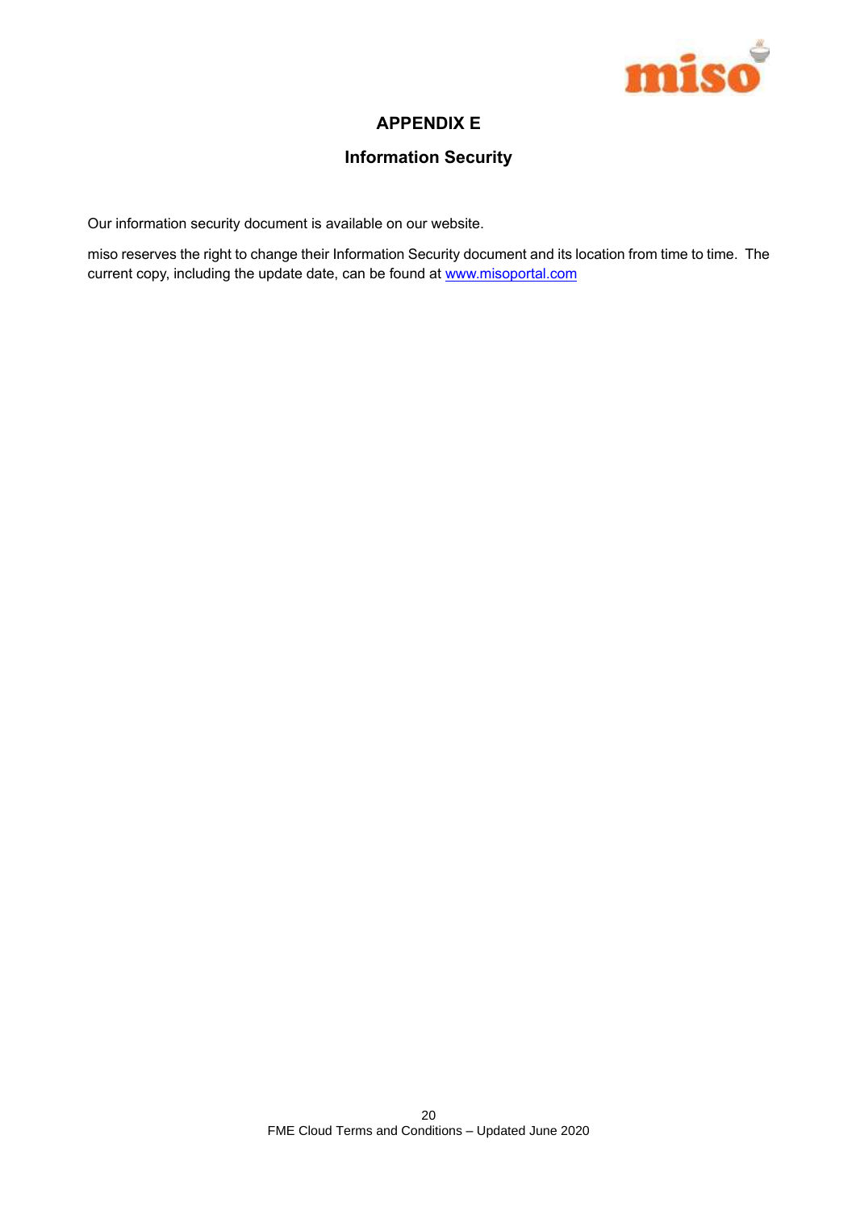

## **APPENDIX E**

## **Information Security**

Our information security document is available on our website.

miso reserves the right to change their Information Security document and its location from time to time. The current copy, including the update date, can be found at www.misoportal.com